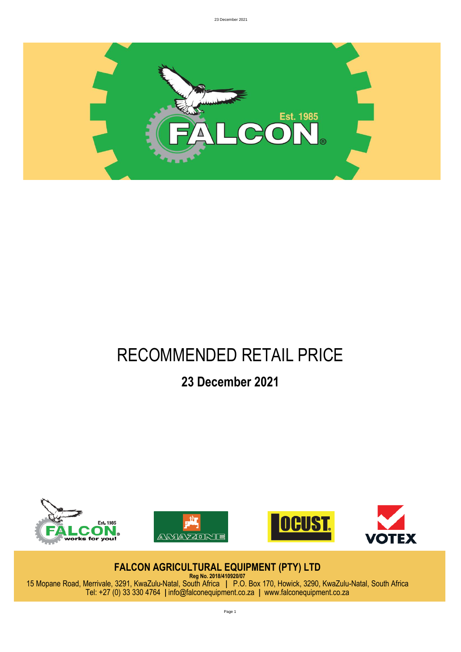

# RECOMMENDED RETAIL PRICE

## **23 December 2021**



**FALCON AGRICULTURAL EQUIPMENT (PTY) LTD**

**Reg No. 2018/410920/07** 15 Mopane Road, Merrivale, 3291, KwaZulu-Natal, South Africa **|** P.O. Box 170, Howick, 3290, KwaZulu-Natal, South Africa Tel: +27 (0) 33 330 4764 **|** info@falconequipment.co.za **|** www.falconequipment.co.za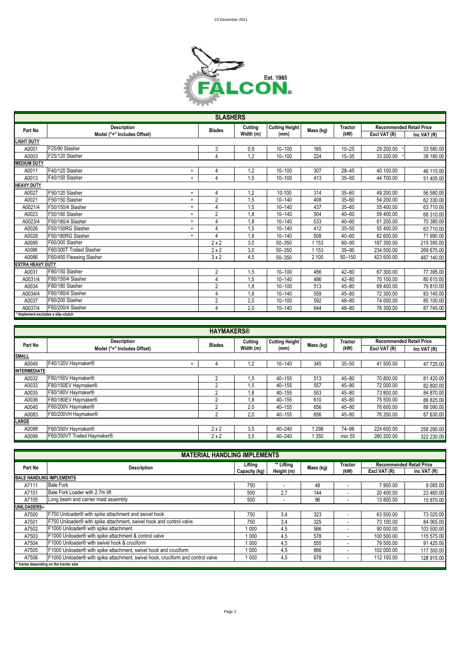

|                           |                                                   | <b>SLASHERS</b> |                      |                       |           |                |                                 |             |
|---------------------------|---------------------------------------------------|-----------------|----------------------|-----------------------|-----------|----------------|---------------------------------|-------------|
| Part No                   | <b>Description</b><br>Model ("+" Includes Offset) | <b>Blades</b>   | Cutting<br>Width (m) | <b>Cutting Height</b> | Mass (kg) | <b>Tractor</b> | <b>Recommended Retail Price</b> |             |
| <b>IGHT DUTY</b>          |                                                   |                 |                      | (mm)                  |           | (kW)           | Excl VAT (R)                    | Inc VAT (R) |
| A0001                     | F25/90 Slasher                                    | 3               | 0,9                  | $10 - 100$            | 165       | $10 - 25$      | 29 200.00                       | 33 580.00   |
| A0003                     | F25/120 Slasher                                   | 4               | 1,2                  | $10 - 100$            | 224       | $15 - 35$      | 33 200.00                       | 38 180.00   |
| <b><i>MEDIUM DUTY</i></b> |                                                   |                 |                      |                       |           |                |                                 |             |
| A0011                     | F40/120 Slasher<br>$\ddot{}$                      |                 | 1.2                  | $10 - 100$            | 307       | $28 - 45$      | 40 100.00                       | 46 115.00   |
| A0013                     | F40/150 Slasher<br>$\ddot{}$                      | Δ               | 1,5                  | $10 - 100$            | 413       | $35 - 50$      | 44 700.00                       | 51 405.00   |
| <b>HEAVY DUTY</b>         |                                                   |                 |                      |                       |           |                |                                 |             |
| A0027                     | F50/120 Slasher<br>$\ddot{}$                      |                 | 1,2                  | 10-100                | 314       | $35 - 60$      | 49 200.00                       | 56 580.00   |
| A0021                     | F50/150 Slasher<br>$\ddot{}$                      | $\overline{2}$  | 1,5                  | $10 - 140$            | 408       | $35 - 60$      | 54 200.00                       | 62 330.00   |
| A0021/4                   | F50/150/4 Slasher<br>$\ddot{}$                    |                 | 1,5                  | $10 - 140$            | 437       | $35 - 60$      | 55 400.00                       | 63 710.00   |
| A0023                     | F50/180 Slasher<br>$\ddot{}$                      | 2               | 1,8                  | $10 - 140$            | 504       | $40 - 60$      | 59 400.00                       | 68 310.00   |
| A0023/4                   | F50/180/4 Slasher<br>$\ddot{}$                    |                 | 1,8                  | $10 - 140$            | 533       | $40 - 60$      | 61 200.00                       | 70 380.00   |
| A0026                     | F50/150RG Slasher<br>$\ddot{}$                    |                 | 1,5                  | $10 - 140$            | 412       | $35 - 50$      | 55 400.00                       | 63 710.00   |
| A0028                     | F50/180RG Slasher<br>$\ddot{}$                    |                 | 1.8                  | $10 - 140$            | 508       | $40 - 60$      | 62 600.00                       | 71 990.00   |
| A0095                     | F60/300 Slasher                                   | $2 \times 2$    | 3,0                  | 50-350                | 1 1 5 3   | $60 - 90$      | 187 300.00                      | 215 395.00  |
| A0096                     | F60/300T Trailed Slasher                          | $2 \times 2$    | 3,0                  | 50-350                | 1 1 5 3   | $35 - 90$      | 234 500.00                      | 269 675.00  |
| A0086                     | F60/450 Flexwing Slasher                          | $3 \times 2$    | 4,5                  | 50-350                | 2 100     | $50 - 150$     | 423 600.00                      | 487 140.00  |
| <b>EXTRA HEAVY DUTY</b>   |                                                   |                 |                      |                       |           |                |                                 |             |
| A0031                     | F80/150 Slasher                                   | $\overline{2}$  | 1.5                  | $10 - 100$            | 456       | $42 - 80$      | 67 300.00                       | 77 395.00   |
| A0031/4                   | F80/150/4 Slasher                                 |                 | 1,5                  | $10 - 140$            | 486       | $42 - 80$      | 70 100.00                       | 80 615.00   |
| A0034                     | F80/180 Slasher                                   | $\overline{2}$  | 1.8                  | $10 - 100$            | 513       | $45 - 80$      | 69 400.00                       | 79 810.00   |
| A0034/4                   | F80/180/4 Slasher                                 | 4               | 1,8                  | $10 - 140$            | 559       | $45 - 80$      | 72 300.00                       | 83 145.00   |
| A0037                     | F80/200 Slasher                                   | $\overline{2}$  | 2,0                  | $10 - 100$            | 592       | $48 - 80$      | 74 000.00                       | 85 100.00   |
| A0037/4                   | F80/200/4 Slasher                                 | 4               | 2,0                  | $10 - 140$            | 644       | $48 - 80$      | 76 300.00                       | 87 745.00   |
|                           | Implement excludes a slip-clutch                  |                 |                      |                       |           |                |                                 |             |

|                     | <b>HAYMAKERS®</b>            |               |           |                       |           |                |                                 |               |  |  |  |
|---------------------|------------------------------|---------------|-----------|-----------------------|-----------|----------------|---------------------------------|---------------|--|--|--|
| Part No             | <b>Description</b>           | <b>Blades</b> | Cutting   | <b>Cutting Height</b> |           | <b>Tractor</b> | <b>Recommended Retail Price</b> |               |  |  |  |
|                     | Model ("+" Includes Offset)  |               | Width (m) | (mm)                  | Mass (kg) | (kW)           | Excl VAT (R)                    | Inc VAT $(R)$ |  |  |  |
| <b>SMALL</b>        |                              |               |           |                       |           |                |                                 |               |  |  |  |
| A0049               | F40/120V Haymaker®<br>$\div$ |               | 2. ا      | $10 - 140$            | 345       | $35 - 50$      | 41 500.00                       | 47 725.00     |  |  |  |
| <b>INTERMEDIATE</b> |                              |               |           |                       |           |                |                                 |               |  |  |  |
| A0032               | F80/150V Haymaker®           |               | 5. ا      | $40 - 155$            | 513       | $45 - 80$      | 70 800.00                       | 81 420.00     |  |  |  |
| A0033               | F80/150EV Haymaker®          |               | 1.5       | $40 - 155$            | 557       | $45 - 80$      | 72 000.00                       | 82 800.00     |  |  |  |
| A0035               | F80/180V Haymaker®           |               | 1.8       | $40 - 155$            | 553       | $45 - 80$      | 73 800.00                       | 84 870.00     |  |  |  |
| A0036               | F80/180EV Haymaker®          |               | 1.8       | $40 - 155$            | 610       | $45 - 80$      | 75 500.00                       | 86 825.00     |  |  |  |
| A0040               | F80/200V Haymaker®           |               | 2,0       | $40 - 155$            | 656       | $45 - 80$      | 76 600.00                       | 88 090.00     |  |  |  |
| A0083               | F80/200VH Haymaker®          |               | 2,0       | $40 - 155$            | 656       | $45 - 80$      | 76 200.00                       | 87 630.00     |  |  |  |
| LARGE               |                              |               |           |                       |           |                |                                 |               |  |  |  |
| A0098               | F60/350V Haymaker®           | 2x2           | 3,5       | 40-240                | 298       | 74-96          | 224 600.00                      | 258 290.00    |  |  |  |
| A0099               | F60/350VT Trailed Haymaker®  | 2x2           | 3,5       | 40-240                | 350       | min 55         | 280 200.00                      | 322 230.00    |  |  |  |

|                                 | <b>MATERIAL HANDLING IMPLEMENTS</b>                                              |               |            |           |         |                                 |               |
|---------------------------------|----------------------------------------------------------------------------------|---------------|------------|-----------|---------|---------------------------------|---------------|
| Part No                         | <b>Description</b>                                                               | Lifting       | ** Lifting | Mass (kg) | Tractor | <b>Recommended Retail Price</b> |               |
|                                 |                                                                                  | Capacity (kg) | Height (m) |           | (kW)    | Excl VAT (R)                    | Inc VAT $(R)$ |
| <b>BALE HANDLING IMPLEMENTS</b> |                                                                                  |               |            |           |         |                                 |               |
| A7111                           | <b>Bale Fork</b>                                                                 | 750           |            | 48        |         | 7 900.00                        | 9 085.00      |
| A7101                           | Bale Fork Loader with 2.7m lift                                                  | 500           | 2.7        | 144       |         | 20 400.00                       | 23 460.00     |
| A7105                           | Long beam and carrier mast assembly                                              | 500           |            | 96        |         | 13 800.00                       | 15 870.00     |
| <b>UNILOADERS®</b>              |                                                                                  |               |            |           |         |                                 |               |
| A7500                           | F750 Uniloader <sup>®</sup> with spike attachment and swivel hook                | 750           | 3.4        | 323       |         | 63 500.00                       | 73 025.00     |
| A7501                           | F750 Uniloader® with spike attachment, swivel hook and control valve             | 750           | 3.4        | 325       |         | 73 100.00                       | 84 065.00     |
| A7502                           | F1000 Uniloader® with spike attachment                                           | 1000          | 4.5        | 566       |         | 90 000.00                       | 103 500.00    |
| A7503                           | F1000 Uniloader® with spike attachment & control valve                           | 1 0 0 0       | 4,5        | 578       |         | 100 500.00                      | 115 575.00    |
| A7504                           | F1000 Uniloader® with swivel hook & cruciform                                    | 1000          | 4,5        | 555       |         | 79 500.00                       | 91 425.00     |
| A7505                           | F1000 Uniloader® with spike attachment, swivel hook and cruciform                | 1 000         | 4,5        | 666       |         | 102 000.00                      | 117 300.00    |
| A7506                           | F1000 Uniloader® with spike attachment, swivel hook, cruciform and control valve | 1 000         | 4.5        | 678       |         | 112 100.00                      | 128 915.00    |
|                                 | * Varies depending on the tractor size                                           |               |            |           |         |                                 |               |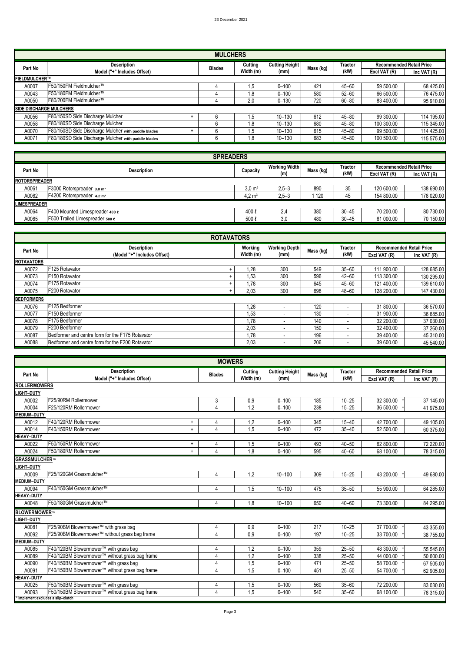|                                 |                                                     | <b>MULCHERS</b> |           |                       |           |                |                                 |               |
|---------------------------------|-----------------------------------------------------|-----------------|-----------|-----------------------|-----------|----------------|---------------------------------|---------------|
| Part No                         | Description                                         | <b>Blades</b>   | Cutting   | <b>Cutting Height</b> | Mass (kg) | <b>Tractor</b> | <b>Recommended Retail Price</b> |               |
|                                 | Model ("+" Includes Offset)                         |                 | Width (m) | (mm)                  |           | (kW)           | Excl VAT (R)                    | Inc VAT $(R)$ |
| IFIELDMULCHER™                  |                                                     |                 |           |                       |           |                |                                 |               |
| A0007                           | F50/150FM Fieldmulcher™                             |                 | ۱.5       | $0 - 100$             | 421       | $45 - 60$      | 59 500.00                       | 68 425.00     |
| A0043                           | <b>F50/180FM Fieldmulcher™</b>                      |                 | 1.8       | $0 - 100$             | 580       | $52 - 60$      | 66 500.00                       | 76 475.00     |
| A0050                           | F80/200FM Fieldmulcher™                             |                 | 2,0       | $0 - 130$             | 720       | $60 - 80$      | 83 400.00                       | 95 910.00     |
| <b>ISIDE DISCHARGE MULCHERS</b> |                                                     |                 |           |                       |           |                |                                 |               |
| A0056                           | F80/150SD Side Discharge Mulcher                    |                 | 1.5       | $10 - 130$            | 612       | $45 - 80$      | 99 300.00                       | 114 195.00    |
| A0058                           | F80/180SD Side Discharge Mulcher                    |                 | 1.8       | $10 - 130$            | 680       | $45 - 80$      | 100 300.00                      | 115 345.00    |
| A0070                           | F80/150SD Side Discharge Mulcher with paddle blades |                 | 1.5       | $10 - 130$            | 615       | $45 - 80$      | 99 500.00                       | 114 425.00    |
| A0071                           | F80/180SD Side Discharge Mulcher with paddle blades |                 | 1,8       | 10-130                | 683       | $45 - 80$      | 100 500.00                      | 115 575.00    |
|                                 |                                                     |                 |           |                       |           |                |                                 |               |

|                      | <b>SPREADERS</b>                       |                   |                      |           |                |                                 |               |  |  |  |
|----------------------|----------------------------------------|-------------------|----------------------|-----------|----------------|---------------------------------|---------------|--|--|--|
| Part No              | <b>Description</b>                     | Capacity          | <b>Working Width</b> | Mass (kg) | <b>Tractor</b> | <b>Recommended Retail Price</b> |               |  |  |  |
|                      |                                        |                   | (m)                  |           | (kW)           | Excl VAT (R)                    | Inc VAT $(R)$ |  |  |  |
| <b>ROTORSPREADER</b> |                                        |                   |                      |           |                |                                 |               |  |  |  |
| A0061                | F3000 Rotorspreader 3.0 m <sup>3</sup> | $3.0 \text{ m}^3$ | $2.5 - 3$            | 890       | 35             | 120 600.00                      | 138 690.00    |  |  |  |
| A0062                | F4200 Rotorspreader 4.2 m <sup>3</sup> | $4.2 \text{ m}^3$ | $2,5 - 3$            | 120       | 45             | 154 800.00                      | 178 020.00    |  |  |  |
| LIMESPREADER         |                                        |                   |                      |           |                |                                 |               |  |  |  |
| A0064                | F400 Mounted Limespreader 400 e        | $400 \ell$        | 2.4                  | 380       | $30 - 45$      | 70 200.00                       | 80 730.00     |  |  |  |
| A0065                | F500 Trailed Limespreader 500 e        | $500 \ell$        | 3,0                  | 480       | $30 - 45$      | 61 000.00                       | 70 150.00     |  |  |  |

|                   | <b>ROTAVATORS</b>                                |           |                          |           |                          |                                 |             |
|-------------------|--------------------------------------------------|-----------|--------------------------|-----------|--------------------------|---------------------------------|-------------|
| Part No           | <b>Description</b>                               | Working   | <b>Working Depth</b>     | Mass (kg) | <b>Tractor</b>           | <b>Recommended Retail Price</b> |             |
|                   | (Model "+" Includes Offset)                      | Width (m) | (mm)                     |           | (kW)                     | Excl VAT (R)                    | Inc VAT (R) |
| <b>ROTAVATORS</b> |                                                  |           |                          |           |                          |                                 |             |
| A0072             | F125 Rotavator                                   | 1,28      | 300                      | 549       | $35 - 60$                | 111 900.00                      | 128 685.00  |
| A0073             | F150 Rotavator                                   | 1.53      | 300                      | 596       | $42 - 60$                | 113 300.00                      | 130 295.00  |
| A0074             | F175 Rotavator                                   | 1.78      | 300                      | 645       | $45 - 60$                | 121 400.00                      | 139 610.00  |
| A0075             | F200 Rotavator                                   | 2,03      | 300                      | 698       | $48 - 60$                | 128 200.00                      | 147 430.00  |
| <b>BEDFORMERS</b> |                                                  |           |                          |           |                          |                                 |             |
| A0076             | F125 Bedformer                                   | 1,28      |                          | 120       |                          | 31 800.00                       | 36 570.00   |
| A0077             | F150 Bedformer                                   | 1,53      |                          | 130       |                          | 31 900.00                       | 36 685.00   |
| A0078             | F175 Bedformer                                   | 1.78      |                          | 140       |                          | 32 200.00                       | 37 030.00   |
| A0079             | F200 Bedformer                                   | 2,03      |                          | 150       |                          | 32 400.00                       | 37 260.00   |
| A0087             | Bedformer and centre form for the F175 Rotavator | 1,78      | $\overline{\phantom{a}}$ | 196       | $\overline{\phantom{a}}$ | 39 400.00                       | 45 310.00   |
| A0088             | Bedformer and centre form for the F200 Rotavator | 2,03      |                          | 206       |                          | 39 600.00                       | 45 540.00   |

|                                    |                                                | <b>MOWERS</b> |           |                       |           |                |                                 |             |
|------------------------------------|------------------------------------------------|---------------|-----------|-----------------------|-----------|----------------|---------------------------------|-------------|
| Part No                            | <b>Description</b>                             | <b>Blades</b> | Cutting   | <b>Cutting Height</b> | Mass (kg) | <b>Tractor</b> | <b>Recommended Retail Price</b> |             |
|                                    | Model ("+" Includes Offset)                    |               | Width (m) | (mm)                  |           | (kW)           | Excl VAT (R)                    | Inc VAT (R) |
| <b>ROLLERMOWERS</b>                |                                                |               |           |                       |           |                |                                 |             |
| <b>IGHT-DUTY</b>                   |                                                |               |           |                       |           |                |                                 |             |
| A0002                              | F25/90RM Rollermower                           | 3             | 0,9       | $0 - 100$             | 185       | $10 - 25$      | 32 300.00                       | 37 145.00   |
| A0004                              | F25/120RM Rollermower                          | 4             | 1.2       | $0 - 100$             | 238       | $15 - 25$      | 36 500.00                       | 41 975.00   |
| <b>MEDIUM-DUTY</b>                 |                                                |               |           |                       |           |                |                                 |             |
| A0012                              | F40/120RM Rollermower<br>$\ddot{}$             | 4             | 1,2       | $0 - 100$             | 345       | $15 - 40$      | 42 700.00                       | 49 105.00   |
| A0014                              | F40/150RM Rollermower<br>$\ddot{}$             | 4             | 1,5       | $0 - 100$             | 472       | $35 - 40$      | 52 500.00                       | 60 375.00   |
| <b>HEAVY-DUTY</b>                  |                                                |               |           |                       |           |                |                                 |             |
| A0022                              | F50/150RM Rollermower<br>$\ddot{}$             | 4             | 1,5       | $0 - 100$             | 493       | $40 - 50$      | 62 800.00                       | 72 220.00   |
| A0024                              | F50/180RM Rollermower<br>$\ddot{}$             | 4             | 1,8       | $0 - 100$             | 595       | $40 - 60$      | 68 100.00                       | 78 315.00   |
| GRASSMULCHER™                      |                                                |               |           |                       |           |                |                                 |             |
| IGHT-DUTY                          |                                                |               |           |                       |           |                |                                 |             |
| A0009                              | F25/120GM Grassmulcher™                        | 4             | 1,2       | $10 - 100$            | 309       | $15 - 25$      | 43 200.00                       | 49 680.00   |
| <b>MEDIUM-DUTY</b>                 |                                                |               |           |                       |           |                |                                 |             |
| A0094                              | F40/150GM Grassmulcher™                        | 4             | 1,5       | $10 - 100$            | 475       | $35 - 50$      | 55 900.00                       | 64 285.00   |
| <b>HEAVY-DUTY</b>                  |                                                |               |           |                       |           |                |                                 |             |
| A0048                              | F50/180GM Grassmulcher™                        | 4             | 1,8       | $10 - 100$            | 650       | $40 - 60$      | 73 300.00                       | 84 295.00   |
| <b>BLOWERMOWER</b> ™               |                                                |               |           |                       |           |                |                                 |             |
| <b>IGHT-DUTY</b>                   |                                                |               |           |                       |           |                |                                 |             |
| A0081                              | F25/90BM Blowermower™ with grass bag           | 4             | 0,9       | $0 - 100$             | 217       | $10 - 25$      | 37 700.00                       | 43 355.00   |
| A0092                              | F25/90BM Blowermower™ without grass bag frame  | 4             | 0,9       | $0 - 100$             | 197       | $10 - 25$      | 33 700.00                       | 38 755.00   |
| <b>MEDIUM-DUTY</b>                 |                                                |               |           |                       |           |                |                                 |             |
| A0085                              | F40/120BM Blowermower™ with grass bag          | 4             | 1,2       | $0 - 100$             | 359       | $25 - 50$      | 48 300.00                       | 55 545.00   |
| A0089                              | F40/120BM Blowermower™ without grass bag frame | 4             | 1,2       | $0 - 100$             | 338       | $25 - 50$      | 44 000.00                       | 50 600.00   |
| A0090                              | F40/150BM Blowermower™ with grass bag          | 4             | 1,5       | $0 - 100$             | 471       | $25 - 50$      | 58 700.00                       | 67 505.00   |
| A0091                              | F40/150BM Blowermower™ without grass bag frame | 4             | 1,5       | $0 - 100$             | 451       | $25 - 50$      | 54 700.00                       | 62 905.00   |
| <b>HEAVY-DUTY</b>                  |                                                |               |           |                       |           |                |                                 |             |
| A0025                              | F50/150BM Blowermower™ with grass bag          | 4             | 1,5       | $0 - 100$             | 560       | $35 - 60$      | 72 200.00                       | 83 030.00   |
| A0093                              | F50/150BM Blowermower™ without grass bag frame | 4             | 1.5       | $0 - 100$             | 540       | $35 - 60$      | 68 100.00                       | 78 315.00   |
| * Implement excludes a slip-clutch |                                                |               |           |                       |           |                |                                 |             |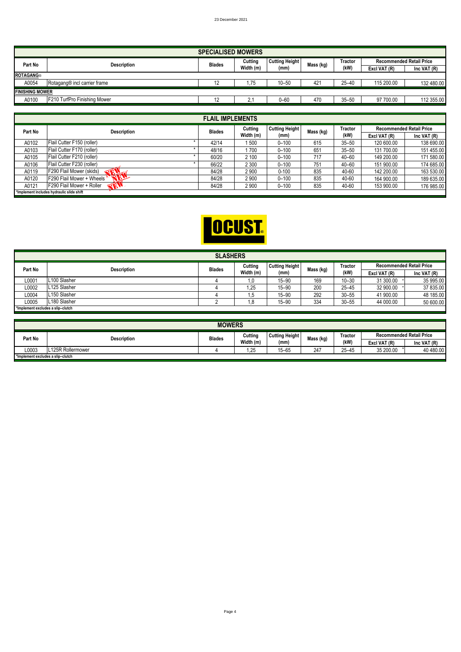|                        | <b>SPECIALISED MOWERS</b>                |               |           |                       |                 |                |                                 |               |  |  |  |
|------------------------|------------------------------------------|---------------|-----------|-----------------------|-----------------|----------------|---------------------------------|---------------|--|--|--|
| Part No                | <b>Description</b>                       | <b>Blades</b> | Cutting   | <b>Cutting Height</b> | Mass (kg)       | <b>Tractor</b> | <b>Recommended Retail Price</b> |               |  |  |  |
|                        |                                          |               | Width (m) | (mm)                  |                 | (kW)           | Excl VAT (R)                    | Inc VAT $(R)$ |  |  |  |
| <b>ROTAGANG®</b>       |                                          |               |           |                       |                 |                |                                 |               |  |  |  |
| A0054                  | Rotagang <sup>®</sup> incl carrier frame | 10            | .75       | $10 - 50$             | 42 <sup>4</sup> | $25 - 40$      | 115 200.00                      | 132 480.00    |  |  |  |
| <b>FINISHING MOWER</b> |                                          |               |           |                       |                 |                |                                 |               |  |  |  |
| A0100                  | F210 TurfPro Finishing Mower             | 10            | 2.        | $0 - 60$              | 470             | $35 - 50$      | 97 700.00                       | 112 355.00    |  |  |  |
|                        |                                          |               |           |                       |                 |                |                                 |               |  |  |  |

|         | <b>FLAIL IMPLEMENTS</b>                   |               |           |                       |           |                |                                 |                 |  |  |  |
|---------|-------------------------------------------|---------------|-----------|-----------------------|-----------|----------------|---------------------------------|-----------------|--|--|--|
| Part No | <b>Description</b>                        | <b>Blades</b> | Cutting   | <b>Cutting Height</b> | Mass (kg) | <b>Tractor</b> | <b>Recommended Retail Price</b> |                 |  |  |  |
|         |                                           |               | Width (m) | (mm)                  |           | (kW)           | Excl VAT (R)                    | $Inc$ VAT $(R)$ |  |  |  |
| A0102   | Flail Cutter F150 (roller)                | 42/14         | 500       | $0 - 100$             | 615       | $35 - 50$      | 120 600.00                      | 138 690.00      |  |  |  |
| A0103   | Flail Cutter F170 (roller)                | 48/16         | 700       | $0 - 100$             | 651       | $35 - 50$      | 131 700.00                      | 151 455.00      |  |  |  |
| A0105   | Flail Cutter F210 (roller)                | 60/20         | 2 100     | $0 - 100$             | 717       | $40 - 60$      | 149 200.00                      | 171 580.00      |  |  |  |
| A0106   | Flail Cutter F230 (roller)                | 66/22         | 2 3 0 0   | $0 - 100$             | 751       | $40 - 60$      | 151 900.00                      | 174 685.00      |  |  |  |
| A0119   | F290 Flail Mower (skids)<br>THE           | 84/28         | 2900      | $0 - 100$             | 835       | 40-60          | 142 200.00                      | 163 530.00      |  |  |  |
| A0120   | $\sim$<br>F290 Flail Mower + Wheels       | 84/28         | 2900      | $0 - 100$             | 835       | 40-60          | 164 900.00                      | 189 635.00      |  |  |  |
| A0121   | F290 Flail Mower + Roller<br><b>TAN</b>   | 84/28         | 2 9 0 0   | $0 - 100$             | 835       | 40-60          | 153 900.00                      | 176 985.00      |  |  |  |
|         | *Implement includes hydraulic slide shift |               |           |                       |           |                |                                 |                 |  |  |  |



|         | <b>SLASHERS</b>                                                                 |               |           |                       |           |                |                                 |               |  |  |  |
|---------|---------------------------------------------------------------------------------|---------------|-----------|-----------------------|-----------|----------------|---------------------------------|---------------|--|--|--|
| Part No | <b>Description</b>                                                              | <b>Blades</b> | Cuttina   | <b>Cutting Height</b> | Mass (kg) | <b>Tractor</b> | <b>Recommended Retail Price</b> |               |  |  |  |
|         |                                                                                 |               | Width (m) | (mm)                  |           | (kW)           | Excl VAT (R)                    | Inc VAT $(R)$ |  |  |  |
| L0001   | L100 Slasher                                                                    |               | .0        | $15 - 90$             | 169       | $10 - 30$      | 31 300.00                       | 35 995.00     |  |  |  |
| L0002   | L125 Slasher                                                                    |               | 1,25      | $15 - 90$             | 200       | $25 - 45$      | 32 900.00                       | 37 835.00     |  |  |  |
| L0004   | L150 Slasher                                                                    |               | l.5       | $15 - 90$             | 292       | $30 - 55$      | 41 900.00                       | 48 185.00     |  |  |  |
| L0005   | L180 Slasher<br>334<br>44 000.00<br>$30 - 55$<br>50 600.00<br>$15 - 90$<br>8, ، |               |           |                       |           |                |                                 |               |  |  |  |
|         | *Implement excludes a slip-clutch                                               |               |           |                       |           |                |                                 |               |  |  |  |

|                                   | <b>MOWERS</b>     |               |                      |                               |           |           |                                 |             |  |  |  |
|-----------------------------------|-------------------|---------------|----------------------|-------------------------------|-----------|-----------|---------------------------------|-------------|--|--|--|
|                                   | Description       | <b>Blades</b> | Cutting<br>Width (m) | <b>Cutting Height</b><br>(mm) | Mass (kg) | Tractor   | <b>Recommended Retail Price</b> |             |  |  |  |
| Part No                           |                   |               |                      |                               |           | (kW)      | Excl VAT (R)                    | Inc VAT (R) |  |  |  |
| L0003                             | L125R Rollermower |               | 1,25                 | $15 - 65$                     | 247       | $25 - 45$ | 35 200.00                       | 40 480.00   |  |  |  |
| *Implement excludes a slip-clutch |                   |               |                      |                               |           |           |                                 |             |  |  |  |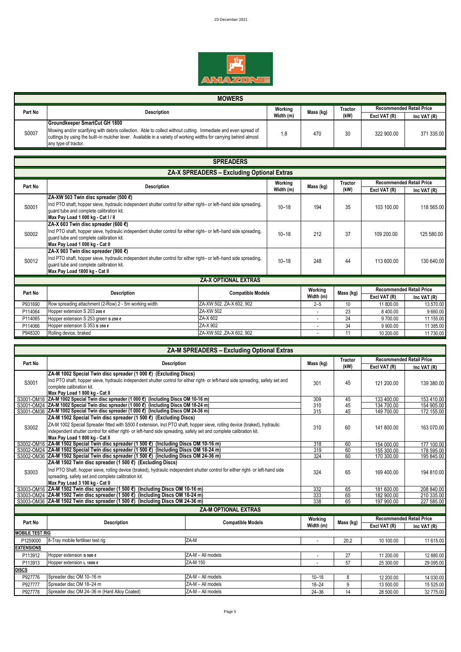

|         | <b>MOWERS</b>                                                                                                                                                                                                                                                                                |           |           |         |                                 |               |  |  |
|---------|----------------------------------------------------------------------------------------------------------------------------------------------------------------------------------------------------------------------------------------------------------------------------------------------|-----------|-----------|---------|---------------------------------|---------------|--|--|
| Part No | <b>Description</b>                                                                                                                                                                                                                                                                           |           | Mass (kg) | Tractor | <b>Recommended Retail Price</b> |               |  |  |
|         |                                                                                                                                                                                                                                                                                              | Width (m) |           | (kW)    | Excl VAT (R)                    | Inc VAT $(R)$ |  |  |
| S0007   | Groundkeeper SmartCut GH 1800<br>Mowing and/or scarifying with debris collection. Able to collect without cutting. Immediate and even spread of<br>cuttings by using the built-in mulcher lever. Available in a variety of working widths for carrying behind almost<br>any type of tractor. |           | 470       | 30      | 322 900.00                      | 371 335.00    |  |  |

|         | <b>SPREADERS</b>                                                                                                                                                                                                                             |                             |                      |                |                        |                                                 |               |  |  |  |  |
|---------|----------------------------------------------------------------------------------------------------------------------------------------------------------------------------------------------------------------------------------------------|-----------------------------|----------------------|----------------|------------------------|-------------------------------------------------|---------------|--|--|--|--|
|         | <b>ZA-X SPREADERS - Excluding Optional Extras</b>                                                                                                                                                                                            |                             |                      |                |                        |                                                 |               |  |  |  |  |
| Part No | <b>Description</b>                                                                                                                                                                                                                           |                             | Working<br>Width (m) | Mass (kg)      | <b>Tractor</b><br>(kW) | <b>Recommended Retail Price</b><br>Excl VAT (R) | Inc VAT $(R)$ |  |  |  |  |
| S0001   | ZA-XW 503 Twin disc spreader (500 C)<br>Incl PTO shaft, hopper sieve, hydraulic independent shutter control for either right- or left-hand side spreading,<br>guard tube and complete calibration kit.<br>Max Pay Load 1 000 kg - Cat I / II |                             |                      | 194            | 35                     | 103 100.00                                      | 118 565.00    |  |  |  |  |
| S0002   | ZA-X 603 Twin disc spreader (600 ℓ)<br>Incl PTO shaft, hopper sieve, hydraulic independent shutter control for either right- or left-hand side spreading,<br>guard tube and complete calibration kit.<br>Max Pay Load 1 000 kg - Cat II      |                             |                      | 212            | 37                     | 109 200.00                                      | 125 580.00    |  |  |  |  |
| S0012   | ZA-X 903 Twin disc spreader (900 ℓ)<br>Incl PTO shaft, hopper sieve, hydraulic independent shutter control for either right- or left-hand side spreading,<br>quard tube and complete calibration kit.<br>Max Pay Load 1800 kg - Cat II       |                             | $10 - 18$            | 248            | 44                     | 113 600.00                                      | 130 640.00    |  |  |  |  |
|         |                                                                                                                                                                                                                                              | <b>ZA-X OPTIONAL EXTRAS</b> |                      |                |                        |                                                 |               |  |  |  |  |
| Part No | <b>Description</b>                                                                                                                                                                                                                           | <b>Compatible Models</b>    |                      | Working        | Mass (kg)              | <b>Recommended Retail Price</b>                 |               |  |  |  |  |
|         |                                                                                                                                                                                                                                              |                             |                      | Width (m)      |                        | Excl VAT (R)                                    | Inc VAT $(R)$ |  |  |  |  |
| P931690 | Row spreading attachment (2-Row) 2 - 5m working width                                                                                                                                                                                        | ZA-XW 502, ZA-X 602, 902    |                      | $2 - 5$        | 10                     | 11 800.00                                       | 13 570.00     |  |  |  |  |
| P114064 | Hopper extension S 203 200 e                                                                                                                                                                                                                 | ZA-XW 502                   |                      |                | 23                     | 8 400.00                                        | 9660.00       |  |  |  |  |
| P114065 | Hopper extension S 253 green s 250 e                                                                                                                                                                                                         | ZA-X 602                    |                      | $\blacksquare$ | 24                     | 9 700.00                                        | 11 155.00     |  |  |  |  |
| P114066 | Hopper extension S 353 s 350 e                                                                                                                                                                                                               | ZA-X 902                    |                      |                | 34                     | 9 900.00                                        | 11 385.00     |  |  |  |  |
| P948320 | Rolling device, braked                                                                                                                                                                                                                       | ZA-XW 502, ZA-X 602, 902    |                      |                | 11                     | 10 200.00                                       | 11 730.00     |  |  |  |  |

|                        |                                                                                                                                                                                                                                                                                                                                                             | <b>ZA-M SPREADERS - Excluding Optional Extras</b> |           |                |                                 |               |
|------------------------|-------------------------------------------------------------------------------------------------------------------------------------------------------------------------------------------------------------------------------------------------------------------------------------------------------------------------------------------------------------|---------------------------------------------------|-----------|----------------|---------------------------------|---------------|
|                        |                                                                                                                                                                                                                                                                                                                                                             |                                                   |           | <b>Tractor</b> | <b>Recommended Retail Price</b> |               |
| Part No                | <b>Description</b>                                                                                                                                                                                                                                                                                                                                          |                                                   | Mass (kg) | (kW)           | Excl VAT (R)                    | Inc VAT $(R)$ |
| S3001                  | ZA-M 1002 Special Twin disc spreader (1 000 $\ell$ ) (Excluding Discs)<br>Incl PTO shaft, hopper sieve, hydraulic independent shutter control for either right- or left-hand side spreading, safety set and<br>complete calibration kit.<br>Max Pay Load 1 800 kg - Cat II                                                                                  |                                                   | 301       | 45             | 121 200.00                      | 139 380.00    |
| S3001-OM16             | ZA-M 1002 Special Twin disc spreader (1 000 $\ell$ ) (Including Discs OM 10-16 m)                                                                                                                                                                                                                                                                           |                                                   | 309       | 45             | 133 400.00                      | 153 410.00    |
|                        | S3001-OM24  ZA-M 1002 Special Twin disc spreader (1 000 ℓ) (Including Discs OM 18-24 m)                                                                                                                                                                                                                                                                     |                                                   | 310       | 45             | 134 700.00                      | 154 905.00    |
|                        | S3001-OM36 ZA-M 1002 Special Twin disc spreader (1 000 $\ell$ ) (Including Discs OM 24-36 m)                                                                                                                                                                                                                                                                |                                                   | 315       | 45             | 149 700.00                      | 172 155.00    |
| S3002                  | ZA-M 1502 Special Twin disc spreader (1 500 ℓ) (Excluding Discs)<br>ZA-M 1002 Special Spreader fitted with S500 $\ell$ extension, Incl PTO shaft, hopper sieve, rolling device (braked), hydraulic<br>independent shutter control for either right- or left-hand side spreading, safety set and complete calibration kit.<br>Max Pay Load 1 800 kg - Cat II |                                                   |           |                | 141 800.00                      | 163 070.00    |
|                        | S3002-OM16 ZA-M 1502 Special Twin disc spreader (1 500 €) (Including Discs OM 10-16 m)                                                                                                                                                                                                                                                                      |                                                   | 318       | 60             | 154 000.00                      | 177 100.00    |
|                        | S3002-OM24   ZA-M 1502 Special Twin disc spreader (1 500 €) (Including Discs OM 18-24 m)                                                                                                                                                                                                                                                                    | 319                                               | 60        | 155 300.00     | 178 595.00                      |               |
|                        | S3002-OM36  ZA-M 1502 Special Twin disc spreader (1 500 $\ell$ ) (Including Discs OM 24-36 m)                                                                                                                                                                                                                                                               | 324                                               | 60        | 170 300.00     | 195 845.00                      |               |
| S3003                  | ZA-M 1502 Twin disc spreader (1 500 C) (Excluding Discs)<br>Incl PTO Shaft, hopper sieve, rolling device (braked), hydraulic independent shutter control for either right- or left-hand side<br>spreading, safety set and complete calibration kit.<br>Max Pay Load 3 100 kg - Cat II                                                                       | 324                                               | 65        | 169 400.00     | 194 810.00                      |               |
|                        | S3003-OM16 ZA-M 1502 Twin disc spreader (1 500 €) (Including Discs OM 10-16 m)                                                                                                                                                                                                                                                                              |                                                   | 332       | 65             | 181 600.00                      | 208 840.00    |
|                        | S3003-OM24 ZA-M 1502 Twin disc spreader (1 500 €) (Including Discs OM 18-24 m)                                                                                                                                                                                                                                                                              |                                                   | 333       | 65             | 182 900.00                      | 210 335.00    |
|                        | S3003-OM36 ZA-M 1502 Twin disc spreader (1 500 ℓ) (Including Discs OM 24-36 m)                                                                                                                                                                                                                                                                              |                                                   | 338       | 65             | 197 900.00                      | 227 585.00    |
|                        |                                                                                                                                                                                                                                                                                                                                                             | <b>ZA-M OPTIONAL EXTRAS</b>                       |           |                |                                 |               |
| Part No                | <b>Description</b>                                                                                                                                                                                                                                                                                                                                          | <b>Compatible Models</b>                          | Working   | Mass (kg)      | <b>Recommended Retail Price</b> |               |
|                        |                                                                                                                                                                                                                                                                                                                                                             |                                                   | Width (m) |                | Excl VAT (R)                    | Inc VAT $(R)$ |
| <b>MOBILE TEST RIG</b> |                                                                                                                                                                                                                                                                                                                                                             |                                                   |           |                |                                 |               |
| P1259000               | 8-Tray mobile fertiliser test rig                                                                                                                                                                                                                                                                                                                           | ZA-M                                              |           | 20,2           | 10 100.00                       | 11 615.00     |
| <b>EXTENSIONS</b>      |                                                                                                                                                                                                                                                                                                                                                             |                                                   |           |                |                                 |               |
| P113912                | Hopper extension s 500 e                                                                                                                                                                                                                                                                                                                                    | $ZA-M - All models$                               | Ĭ.        | 27             | 11 200.00                       | 12 880.00     |
| P113913                | Hopper extension L 1000 e                                                                                                                                                                                                                                                                                                                                   | ZA-M 150                                          |           | 57             | 25 300.00                       | 29 095.00     |
| <b>DISCS</b>           |                                                                                                                                                                                                                                                                                                                                                             |                                                   |           |                |                                 |               |
| P927776                | Spreader disc OM 10-16 m                                                                                                                                                                                                                                                                                                                                    | ZA-M - All models                                 | $10 - 16$ | 8              | 12 200.00                       | 14 030.00     |
| P927777                | Spreader disc OM 18-24 m                                                                                                                                                                                                                                                                                                                                    | ZA-M - All models                                 | $18 - 24$ | 9              | 13 500.00                       | 15 525.00     |
| P927778                | Spreader disc OM 24-36 m (Hard Alloy Coated)                                                                                                                                                                                                                                                                                                                | ZA-M - All models                                 | $24 - 36$ | 14             | 28 500.00                       | 32 775.00     |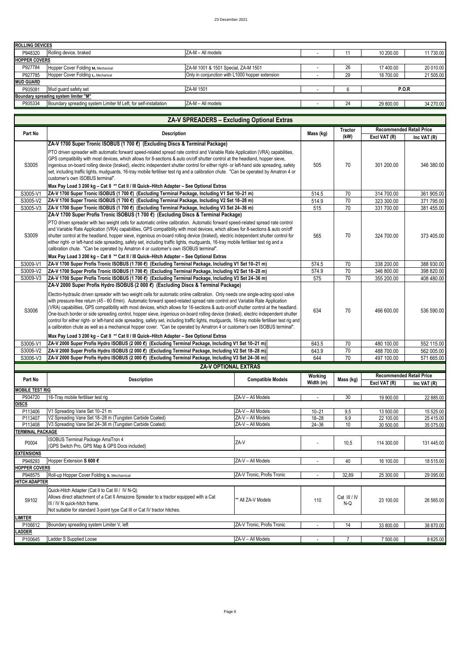| <b>ROLLING DEVICES</b> |                                                                 |                                                 |    |              |           |
|------------------------|-----------------------------------------------------------------|-------------------------------------------------|----|--------------|-----------|
| P948320                | Rolling device, braked                                          | ZA-M - All models                               |    | 10 200.00    | 11 730.00 |
| <b>HOPPER COVERS</b>   |                                                                 |                                                 |    |              |           |
| P927784                | Hopper Cover Folding M, Mechanical                              | ZA-M 1001 & 1501 Special, ZA-M 1501             | 26 | 17 400.00    | 20 010.00 |
| P927785                | Hopper Cover Folding L, Mechanical                              | Only in conjunction with L1000 hopper extension | 29 | 18 700.00    | 21 505.00 |
| <b>MUD GUARD</b>       |                                                                 |                                                 |    |              |           |
| P935081                | Mud guard safety set                                            | ZA-M 1501                                       |    | <b>P.O.R</b> |           |
|                        | Boundary spreading system limiter "M"                           |                                                 |    |              |           |
| P935334                | Boundary spreading system Limiter M Left, for self-installation | ZA-M - All models                               | 24 | 29 800.00    | 34 270.00 |
|                        |                                                                 |                                                 |    |              |           |

|                               | <b>ZA-V SPREADERS - Excluding Optional Extras</b>                                                                                                                                                                                                                                                                                                                                                                                                                                                                                                                                                                                                                                                                                                                                                                                                                                                                                                                                                                           |                            |                          |                     |                                 |               |  |  |  |
|-------------------------------|-----------------------------------------------------------------------------------------------------------------------------------------------------------------------------------------------------------------------------------------------------------------------------------------------------------------------------------------------------------------------------------------------------------------------------------------------------------------------------------------------------------------------------------------------------------------------------------------------------------------------------------------------------------------------------------------------------------------------------------------------------------------------------------------------------------------------------------------------------------------------------------------------------------------------------------------------------------------------------------------------------------------------------|----------------------------|--------------------------|---------------------|---------------------------------|---------------|--|--|--|
| Part No                       | <b>Description</b>                                                                                                                                                                                                                                                                                                                                                                                                                                                                                                                                                                                                                                                                                                                                                                                                                                                                                                                                                                                                          |                            | Mass (kg)                | <b>Tractor</b>      | <b>Recommended Retail Price</b> |               |  |  |  |
|                               | ZA-V 1700 Super Tronic ISOBUS (1 700 $\ell$ ) (Excluding Discs & Terminal Package)                                                                                                                                                                                                                                                                                                                                                                                                                                                                                                                                                                                                                                                                                                                                                                                                                                                                                                                                          |                            |                          | (kW)                | Excl VAT (R)                    | Inc VAT $(R)$ |  |  |  |
| S3005                         | PTO driven spreader with automatic forward speed-related spread rate control and Variable Rate Application (VRA) capabilities,<br>GPS compatibility with most devices, which allows for 8-sections & auto on/off shutter control at the headland, hopper sieve,<br>ingenious on-board rolling device (braked), electric independent shutter control for either right- or left-hand side spreading, safety<br>set, including traffic lights, mudguards, 16-tray mobile fertiliser test rig and a calibration chute. "Can be operated by Amatron 4 or<br>customer's own ISOBUS terminal".                                                                                                                                                                                                                                                                                                                                                                                                                                     |                            | 505                      | 70                  | 301 200.00                      | 346 380.00    |  |  |  |
|                               | Max Pay Load 3 200 kg - Cat II ** Cat II / III Quick-Hitch Adapter - See Optional Extras                                                                                                                                                                                                                                                                                                                                                                                                                                                                                                                                                                                                                                                                                                                                                                                                                                                                                                                                    |                            |                          |                     |                                 |               |  |  |  |
| S3005-V1                      | ZA-V 1700 Super Tronic ISOBUS (1 700 ℓ) (Excluding Terminal Package, Including V1 Set 10-21 m)                                                                                                                                                                                                                                                                                                                                                                                                                                                                                                                                                                                                                                                                                                                                                                                                                                                                                                                              |                            | 514.5                    | 70                  | 314 700.00                      | 361 905.00    |  |  |  |
| S3005-V2                      | ZA-V 1700 Super Tronic ISOBUS (1 700 $\ell$ ) (Excluding Terminal Package, Including V2 Set 18-28 m)                                                                                                                                                                                                                                                                                                                                                                                                                                                                                                                                                                                                                                                                                                                                                                                                                                                                                                                        |                            | 514.9                    | 70                  | 323 300.00                      | 371 795.00    |  |  |  |
| S3005-V3                      | ZA-V 1700 Super Tronic ISOBUS (1 700 €) (Excluding Terminal Package, Including V3 Set 24-36 m)                                                                                                                                                                                                                                                                                                                                                                                                                                                                                                                                                                                                                                                                                                                                                                                                                                                                                                                              |                            | 515                      | 70                  | 331 700.00                      | 381 455.00    |  |  |  |
| S3009                         | ZA-V 1700 Super Profis Tronic ISOBUS (1 700 C) (Excluding Discs & Terminal Package)<br>PTO driven spreader with two weight cells for automatic online calibration. Automatic forward speed-related spread rate control<br>and Variable Rate Application (VRA) capabilities, GPS compatibility with most devices, which allows for 8-sections & auto on/off<br>shutter control at the headland, hopper sieve, ingenious on-board rolling device (braked), electric independent shutter control for<br>either right- or left-hand side spreading, safety set, including traffic lights, mudguards, 16-tray mobile fertiliser test rig and a<br>calibration chute. "Can be operated by Amatron 4 or customer's own ISOBUS terminal".<br>Max Pay Load 3 200 kg - Cat II ** Cat II / III Quick-Hitch Adapter - See Optional Extras                                                                                                                                                                                               | 565                        | 70                       | 324 700.00          | 373 405.00                      |               |  |  |  |
| S3009-V1                      | ZA-V 1700 Super Profis Tronic ISOBUS (1 700 $\ell$ ) (Excluding Terminal Package, Including V1 Set 10-21 m)                                                                                                                                                                                                                                                                                                                                                                                                                                                                                                                                                                                                                                                                                                                                                                                                                                                                                                                 |                            | 574.5                    | 70                  | 338 200.00                      | 388 930.00    |  |  |  |
| S3009-V2                      | ZA-V 1700 Super Profis Tronic ISOBUS (1 700 ℓ) (Excluding Terminal Package, Including V2 Set 18-28 m)                                                                                                                                                                                                                                                                                                                                                                                                                                                                                                                                                                                                                                                                                                                                                                                                                                                                                                                       |                            | 574.9                    | 70                  | 346 800.00                      | 398 820.00    |  |  |  |
| S3009-V3                      | ZA-V 1700 Super Profis Tronic ISOBUS (1 700 ℓ) (Excluding Terminal Package, Including V3 Set 24-36 m)                                                                                                                                                                                                                                                                                                                                                                                                                                                                                                                                                                                                                                                                                                                                                                                                                                                                                                                       |                            | 575                      | 70                  | 355 200.00                      | 408 480.00    |  |  |  |
| S3006                         | ZA-V 2000 Super Profis Hydro ISOBUS (2 000 C) (Excluding Discs & Terminal Package)<br>Electro-hydraulic driven spreader with two weight cells for automatic online calibration. Only needs one single-acting spool valve<br>with pressure-free return (45 - 60 <i>U</i> /min). Automatic forward speed-related spread rate control and Variable Rate Application<br>(VRA) capabilities, GPS compatibility with most devices, which allows for 16-sections & auto on/off shutter control at the headland.<br>One-touch border or side spreading control, hopper sieve, ingenious on-board rolling device (braked), electric independent shutter<br>control for either right- or left-hand side spreading, safety set, including traffic lights, mudguards, 16-tray mobile fertiliser test rig and<br>a calibration chute as well as a mechanical hopper cover. "Can be operated by Amatron 4 or customer's own ISOBUS terminal".<br>Max Pay Load 3 200 kg - Cat II ** Cat II / III Quick-Hitch Adapter - See Optional Extras | 634                        | 70                       | 466 600.00          | 536 590.00                      |               |  |  |  |
| S3006-V1                      | ZA-V 2000 Super Profis Hydro ISOBUS (2 000 ℓ) (Excluding Terminal Package, Including V1 Set 10-21 m)                                                                                                                                                                                                                                                                                                                                                                                                                                                                                                                                                                                                                                                                                                                                                                                                                                                                                                                        |                            | 643.5                    | 70                  | 480 100.00                      | 552 115.00    |  |  |  |
| S3006-V2                      | ZA-V 2000 Super Profis Hydro ISOBUS (2 000 $\ell$ ) (Excluding Terminal Package, Including V2 Set 18-28 m)                                                                                                                                                                                                                                                                                                                                                                                                                                                                                                                                                                                                                                                                                                                                                                                                                                                                                                                  |                            | 643.9                    | 70                  | 488 700.00                      | 562 005.00    |  |  |  |
| S3006-V3                      | [ZA-V 2000 Super Profis Hydro ISOBUS (2 000 C) (Excluding Terminal Package, Including V3 Set 24-36 m)                                                                                                                                                                                                                                                                                                                                                                                                                                                                                                                                                                                                                                                                                                                                                                                                                                                                                                                       |                            | 644                      | 70                  | 497 100.00                      | 571 665.00    |  |  |  |
|                               | <b>ZA-V OPTIONAL EXTRAS</b>                                                                                                                                                                                                                                                                                                                                                                                                                                                                                                                                                                                                                                                                                                                                                                                                                                                                                                                                                                                                 |                            |                          |                     |                                 |               |  |  |  |
| Part No                       | <b>Description</b>                                                                                                                                                                                                                                                                                                                                                                                                                                                                                                                                                                                                                                                                                                                                                                                                                                                                                                                                                                                                          | <b>Compatible Models</b>   | Working                  | Mass (kg)           | <b>Recommended Retail Price</b> |               |  |  |  |
|                               |                                                                                                                                                                                                                                                                                                                                                                                                                                                                                                                                                                                                                                                                                                                                                                                                                                                                                                                                                                                                                             |                            | Width (m)                |                     | Excl VAT (R)                    | Inc VAT $(R)$ |  |  |  |
| <b>MOBILE TEST RIG</b>        |                                                                                                                                                                                                                                                                                                                                                                                                                                                                                                                                                                                                                                                                                                                                                                                                                                                                                                                                                                                                                             |                            |                          |                     |                                 |               |  |  |  |
| P934720<br><b>DISCS</b>       | 16-Tray mobile fertiliser test rig                                                                                                                                                                                                                                                                                                                                                                                                                                                                                                                                                                                                                                                                                                                                                                                                                                                                                                                                                                                          | ZA-V - All Models          | $\sim$                   | 30                  | 19 900.00                       | 22 885.00     |  |  |  |
| P113406                       | V1 Spreading Vane Set 10-21 m                                                                                                                                                                                                                                                                                                                                                                                                                                                                                                                                                                                                                                                                                                                                                                                                                                                                                                                                                                                               | ZA-V - All Models          | $10 - 21$                | 9,5                 | 13 500.00                       | 15 525.00     |  |  |  |
| P113407                       | V2 Spreading Vane Set 18-28 m (Tungsten Carbide Coated)                                                                                                                                                                                                                                                                                                                                                                                                                                                                                                                                                                                                                                                                                                                                                                                                                                                                                                                                                                     | ZA-V - All Models          | $18 - 28$                | 9,9                 | 22 100.00                       | 25 415.00     |  |  |  |
| P113408                       | V3 Spreading Vane Set 24-36 m (Tungsten Carbide Coated)                                                                                                                                                                                                                                                                                                                                                                                                                                                                                                                                                                                                                                                                                                                                                                                                                                                                                                                                                                     | ZA-V - All Models          | $24 - 36$                | 10                  | 30 500.00                       | 35 075.00     |  |  |  |
| <b>TERMINAL PACKAGE</b>       |                                                                                                                                                                                                                                                                                                                                                                                                                                                                                                                                                                                                                                                                                                                                                                                                                                                                                                                                                                                                                             |                            |                          |                     |                                 |               |  |  |  |
| P0004                         | <b>ISOBUS Terminal Package AmaTron 4</b><br>(GPS Switch Pro, GPS Map & GPS Docs included)                                                                                                                                                                                                                                                                                                                                                                                                                                                                                                                                                                                                                                                                                                                                                                                                                                                                                                                                   | ZA-V                       |                          | 10,5                | 114 300.00                      | 131 445.00    |  |  |  |
| <b>EXTENSIONS</b>             |                                                                                                                                                                                                                                                                                                                                                                                                                                                                                                                                                                                                                                                                                                                                                                                                                                                                                                                                                                                                                             |                            |                          |                     |                                 |               |  |  |  |
| P948293                       | Hopper Extension S 600 €                                                                                                                                                                                                                                                                                                                                                                                                                                                                                                                                                                                                                                                                                                                                                                                                                                                                                                                                                                                                    | ZA-V - All Models          |                          | 40                  | 16 100.00                       | 18 515.00     |  |  |  |
| <b>HOPPER COVERS</b>          |                                                                                                                                                                                                                                                                                                                                                                                                                                                                                                                                                                                                                                                                                                                                                                                                                                                                                                                                                                                                                             |                            |                          |                     |                                 |               |  |  |  |
| P948575                       | Roll-up Hopper Cover Folding s, Mechanical                                                                                                                                                                                                                                                                                                                                                                                                                                                                                                                                                                                                                                                                                                                                                                                                                                                                                                                                                                                  | ZA-V Tronic, Profis Tronic | $\overline{\phantom{a}}$ | 32,89               | 25 300.00                       | 29 095.00     |  |  |  |
| <b>HITCH ADAPTER</b><br>S9102 | Quick-Hitch Adapter (Cat II to Cat III / IV N-Q)<br>Allows direct attachment of a Cat II Amazone Spreader to a tractor equipped with a Cat<br>III / IV N quick-hitch frame.<br>Not suitable for standard 3-point type Cat III or Cat IV tractor hitches.                                                                                                                                                                                                                                                                                                                                                                                                                                                                                                                                                                                                                                                                                                                                                                    | * All ZA-V Models          | 110                      | Cat III / IV<br>N-Q | 23 100.00                       | 26 565.00     |  |  |  |
| <b>IMITER</b>                 | Boundary spreading system Limiter V, left                                                                                                                                                                                                                                                                                                                                                                                                                                                                                                                                                                                                                                                                                                                                                                                                                                                                                                                                                                                   |                            |                          |                     |                                 |               |  |  |  |
| P106612<br><b>ADDER</b>       |                                                                                                                                                                                                                                                                                                                                                                                                                                                                                                                                                                                                                                                                                                                                                                                                                                                                                                                                                                                                                             | ZA-V Tronic, Profis Tronic | $\overline{a}$           | 14                  | 33 800.00                       | 38 870.00     |  |  |  |
| P100645                       | Ladder S Supplied Loose                                                                                                                                                                                                                                                                                                                                                                                                                                                                                                                                                                                                                                                                                                                                                                                                                                                                                                                                                                                                     | ZA-V - All Models          | $\overline{\phantom{a}}$ | $\overline{7}$      | 7 500.00                        | 8 625.00      |  |  |  |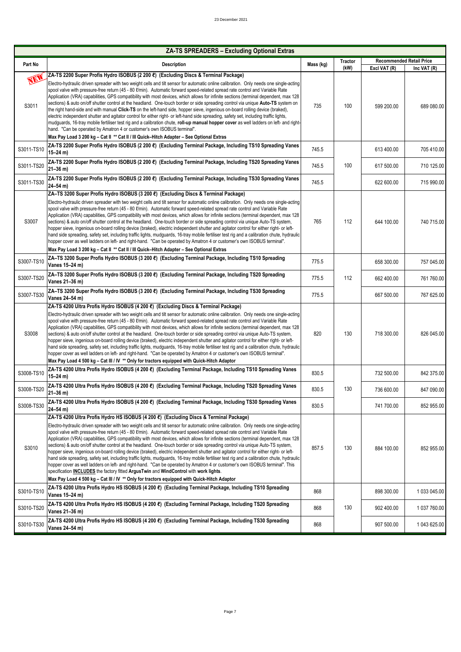|             | <b>ZA-TS SPREADERS - Excluding Optional Extras</b>                                                                                                                                                                                                                                                                                                                                                                                                                                                                                                                                                                                                                                                                                                                                                                                                                                                                                                                                                                                                                                                                                                                                                                                                                         |           |                        |                                                 |              |
|-------------|----------------------------------------------------------------------------------------------------------------------------------------------------------------------------------------------------------------------------------------------------------------------------------------------------------------------------------------------------------------------------------------------------------------------------------------------------------------------------------------------------------------------------------------------------------------------------------------------------------------------------------------------------------------------------------------------------------------------------------------------------------------------------------------------------------------------------------------------------------------------------------------------------------------------------------------------------------------------------------------------------------------------------------------------------------------------------------------------------------------------------------------------------------------------------------------------------------------------------------------------------------------------------|-----------|------------------------|-------------------------------------------------|--------------|
| Part No     | <b>Description</b>                                                                                                                                                                                                                                                                                                                                                                                                                                                                                                                                                                                                                                                                                                                                                                                                                                                                                                                                                                                                                                                                                                                                                                                                                                                         | Mass (kg) | <b>Tractor</b><br>(kW) | <b>Recommended Retail Price</b><br>Excl VAT (R) | Inc VAT (R)  |
| MA<br>S3011 | ZA-TS 2200 Super Profis Hydro ISOBUS (2 200 C) (Excluding Discs & Terminal Package)<br>Electro-hydraulic driven spreader with two weight cells and tilt sensor for automatic online calibration. Only needs one single-acting<br>spool valve with pressure-free return (45 - 80 <i>U</i> /min). Automatic forward speed-related spread rate control and Variable Rate<br>Application (VRA) capabilities, GPS compatibility with most devices, which allows for infinite sections (terminal dependent, max 128<br>sections) & auto on/off shutter control at the headland. One-touch border or side spreading control via unique Auto-TS system on<br>the right hand-side and with manual Click-TS on the left-hand side, hopper sieve, ingenious on-board rolling device (braked),<br>electric independent shutter and agitator control for either right- or left-hand side spreading, safety set, including traffic lights,<br>mudquards, 16-tray mobile fertiliser test rig and a calibration chute, roll-up manual hopper cover as well ladders on left- and right-<br>hand. "Can be operated by Amatron 4 or customer's own ISOBUS terminal".<br>Max Pay Load 3 200 kg - Cat II ** Cat II / III Quick-Hitch Adapter - See Optional Extras                              | 735       | 100                    | 599 200.00                                      | 689 080.00   |
| S3011-TS10  | ZA-TS 2200 Super Profis Hydro ISOBUS (2 200 C) (Excluding Terminal Package, Including TS10 Spreading Vanes<br>$15 - 24$ m)                                                                                                                                                                                                                                                                                                                                                                                                                                                                                                                                                                                                                                                                                                                                                                                                                                                                                                                                                                                                                                                                                                                                                 | 745.5     |                        | 613 400.00                                      | 705 410.00   |
| S3011-TS20  | ZA-TS 2200 Super Profis Hydro ISOBUS (2 200 ℓ) (Excluding Terminal Package, Including TS20 Spreading Vanes<br>$21 - 36$ m)                                                                                                                                                                                                                                                                                                                                                                                                                                                                                                                                                                                                                                                                                                                                                                                                                                                                                                                                                                                                                                                                                                                                                 | 745.5     | 100                    | 617 500.00                                      | 710 125.00   |
| S3011-TS30  | ZA-TS 2200 Super Profis Hydro ISOBUS (2 200 ℓ) (Excluding Terminal Package, Including TS30 Spreading Vanes<br>24-54 m)                                                                                                                                                                                                                                                                                                                                                                                                                                                                                                                                                                                                                                                                                                                                                                                                                                                                                                                                                                                                                                                                                                                                                     | 745.5     |                        | 622 600.00                                      | 715 990.00   |
| S3007       | ZA-TS 3200 Super Profis Hydro ISOBUS (3 200 €) (Excluding Discs & Terminal Package)<br>Electro-hydraulic driven spreader with two weight cells and tilt sensor for automatic online calibration. Only needs one single-acting<br>spool valve with pressure-free return (45 - 80 <i>l</i> /min). Automatic forward speed-related spread rate control and Variable Rate<br>Application (VRA) capabilities, GPS compatibility with most devices, which allows for infinite sections (terminal dependent, max 128<br>sections) & auto on/off shutter control at the headland. One-touch border or side spreading control via unique Auto-TS system,<br>hopper sieve, ingenious on-board rolling device (braked), electric independent shutter and agitator control for either right- or left-<br>hand side spreading, safety set, including traffic lights, mudguards, 16-tray mobile fertiliser test rig and a calibration chute, hydraulic<br>hopper cover as well ladders on left- and right-hand. "Can be operated by Amatron 4 or customer's own ISOBUS terminal".<br>Max Pay Load 3 200 kg - Cat II ** Cat II / III Quick-Hitch Adapter - See Optional Extras                                                                                                            | 765       | 112                    | 644 100.00                                      | 740 715.00   |
| S3007-TS10  | ZA-TS 3200 Super Profis Hydro ISOBUS (3 200 ℓ) (Excluding Terminal Package, Including TS10 Spreading<br>Vanes 15-24 m)                                                                                                                                                                                                                                                                                                                                                                                                                                                                                                                                                                                                                                                                                                                                                                                                                                                                                                                                                                                                                                                                                                                                                     | 775.5     |                        | 658 300.00                                      | 757 045.00   |
| S3007-TS20  | ZA-TS 3200 Super Profis Hydro ISOBUS (3 200 ℓ) (Excluding Terminal Package, Including TS20 Spreading<br>Vanes 21-36 m)                                                                                                                                                                                                                                                                                                                                                                                                                                                                                                                                                                                                                                                                                                                                                                                                                                                                                                                                                                                                                                                                                                                                                     |           | 112                    | 662 400.00                                      | 761 760.00   |
| S3007-TS30  | ZA-TS 3200 Super Profis Hydro ISOBUS (3 200 ℓ) (Excluding Terminal Package, Including TS30 Spreading<br>Vanes 24-54 m)                                                                                                                                                                                                                                                                                                                                                                                                                                                                                                                                                                                                                                                                                                                                                                                                                                                                                                                                                                                                                                                                                                                                                     | 775.5     |                        | 667 500.00                                      | 767 625.00   |
| S3008       | ZA-TS 4200 Ultra Profis Hydro ISOBUS (4 200 ℓ) (Excluding Discs & Terminal Package)<br>Electro-hydraulic driven spreader with two weight cells and tilt sensor for automatic online calibration. Only needs one single-acting<br>spool valve with pressure-free return (45 - 80 <i>l</i> /min). Automatic forward speed-related spread rate control and Variable Rate<br>Application (VRA) capabilities, GPS compatibility with most devices, which allows for infinite sections (terminal dependent, max 128<br>sections) & auto on/off shutter control at the headland. One-touch border or side spreading control via unique Auto-TS system,<br>hopper sieve, ingenious on-board rolling device (braked), electric independent shutter and agitator control for either right- or left-<br>hand side spreading, safety set, including traffic lights, mudguards, 16-tray mobile fertiliser test rig and a calibration chute, hydraulic<br>hopper cover as well ladders on left- and right-hand. "Can be operated by Amatron 4 or customer's own ISOBUS terminal".<br>Max Pay Load 4 500 kg – Cat III / IV ** Only for tractors equipped with Quick-Hitch Adaptor                                                                                                         | 820       | 130                    | 718 300.00                                      | 826 045.00   |
| S3008-TS10  | ZA-TS 4200 Ultra Profis Hydro ISOBUS (4 200 ℓ) (Excluding Terminal Package, Including TS10 Spreading Vanes<br>15-24 m)                                                                                                                                                                                                                                                                                                                                                                                                                                                                                                                                                                                                                                                                                                                                                                                                                                                                                                                                                                                                                                                                                                                                                     | 830.5     |                        | 732 500.00                                      | 842 375.00   |
| S3008-TS20  | ZA-TS 4200 Ultra Profis Hydro ISOBUS (4 200 ℓ) (Excluding Terminal Package, Including TS20 Spreading Vanes<br>21–36 m)                                                                                                                                                                                                                                                                                                                                                                                                                                                                                                                                                                                                                                                                                                                                                                                                                                                                                                                                                                                                                                                                                                                                                     | 830.5     | 130                    | 736 600.00                                      | 847 090.00   |
| S3008-TS30  | ZA-TS 4200 Ultra Profis Hydro ISOBUS (4 200 ℓ) (Excluding Terminal Package, Including TS30 Spreading Vanes<br>$24 - 54$ m)                                                                                                                                                                                                                                                                                                                                                                                                                                                                                                                                                                                                                                                                                                                                                                                                                                                                                                                                                                                                                                                                                                                                                 | 830.5     |                        | 741 700.00                                      | 852 955.00   |
| S3010       | ZA-TS 4200 Ultra Profis Hydro HS ISOBUS (4 200 C) (Excluding Discs & Terminal Package)<br>Electro-hydraulic driven spreader with two weight cells and tilt sensor for automatic online calibration. Only needs one single-acting<br>spool valve with pressure-free return (45 - 80 <i>l</i> /min). Automatic forward speed-related spread rate control and Variable Rate<br>Application (VRA) capabilities, GPS compatibility with most devices, which allows for infinite sections (terminal dependent, max 128<br>sections) & auto on/off shutter control at the headland. One-touch border or side spreading control via unique Auto-TS system,<br>hopper sieve, ingenious on-board rolling device (braked), electric independent shutter and agitator control for either right- or left-<br>hand side spreading, safety set, including traffic lights, mudguards, 16-tray mobile fertiliser test rig and a calibration chute, hydraulic<br>hopper cover as well ladders on left- and right-hand. "Can be operated by Amatron 4 or customer's own ISOBUS terminal". This<br>specification <b>INCLUDES</b> the factory fitted ArgusTwin and WindControl with work lights.<br>Max Pay Load 4 500 kg – Cat III / IV ** Only for tractors equipped with Quick-Hitch Adaptor | 857.5     | 130                    | 884 100.00                                      | 852 955.00   |
| S3010-TS10  | ZA-TS 4200 Ultra Profis Hydro HS ISOBUS (4 200 ℓ) (Excluding Terminal Package, Including TS10 Spreading<br>Vanes 15–24 m)                                                                                                                                                                                                                                                                                                                                                                                                                                                                                                                                                                                                                                                                                                                                                                                                                                                                                                                                                                                                                                                                                                                                                  | 868       |                        | 898 300.00                                      | 1 033 045.00 |
| S3010-TS20  | ZA-TS 4200 Ultra Profis Hydro HS ISOBUS (4 200 €) (Excluding Terminal Package, Including TS20 Spreading<br>Vanes 21-36 m)                                                                                                                                                                                                                                                                                                                                                                                                                                                                                                                                                                                                                                                                                                                                                                                                                                                                                                                                                                                                                                                                                                                                                  | 868       | 130                    | 902 400.00                                      | 1 037 760.00 |
| S3010-TS30  | ZA-TS 4200 Ultra Profis Hydro HS ISOBUS (4 200 ℓ) (Excluding Terminal Package, Including TS30 Spreading<br>Vanes 24-54 m)                                                                                                                                                                                                                                                                                                                                                                                                                                                                                                                                                                                                                                                                                                                                                                                                                                                                                                                                                                                                                                                                                                                                                  | 868       |                        | 907 500.00                                      | 1 043 625.00 |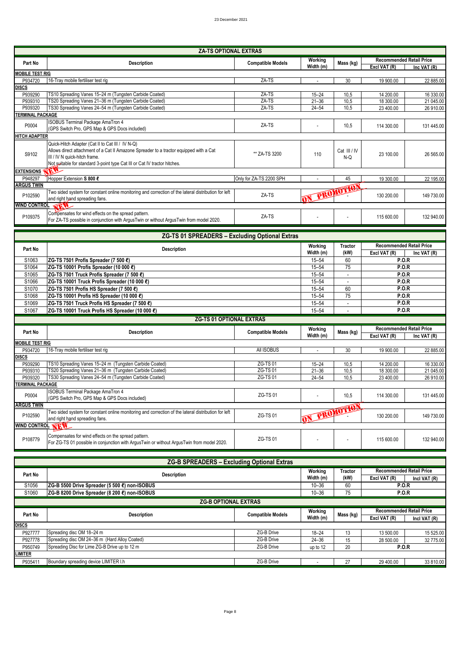|                                   | <b>ZA-TS OPTIONAL EXTRAS</b>                                                                                                                                                                                                                             |                          |                        |                                                 |                                                 |              |
|-----------------------------------|----------------------------------------------------------------------------------------------------------------------------------------------------------------------------------------------------------------------------------------------------------|--------------------------|------------------------|-------------------------------------------------|-------------------------------------------------|--------------|
| Part No                           | <b>Description</b>                                                                                                                                                                                                                                       | <b>Compatible Models</b> | Working<br>Width (m)   | Mass (kg)                                       | <b>Recommended Retail Price</b><br>Excl VAT (R) | Inc VAT (R)  |
| <b>MOBILE TEST RIG</b>            |                                                                                                                                                                                                                                                          |                          |                        |                                                 |                                                 |              |
| P934720<br><b>DISCS</b>           | 16-Tray mobile fertiliser test rig                                                                                                                                                                                                                       | ZA-TS                    |                        | 30                                              | 19 900.00                                       | 22 885.00    |
| P939290                           | TS10 Spreading Vanes 15-24 m (Tungsten Carbide Coated)                                                                                                                                                                                                   | ZA-TS                    | $15 - 24$              | 10,5                                            | 14 200.00                                       | 16 330.00    |
| P939310                           | TS20 Spreading Vanes 21-36 m (Tungsten Carbide Coated)                                                                                                                                                                                                   | ZA-TS                    | $21 - 36$              | 10,5                                            | 18 300.00                                       | 21 045.00    |
| P939320                           | TS30 Spreading Vanes 24-54 m (Tungsten Carbide Coated)                                                                                                                                                                                                   | ZA-TS                    | $24 - 54$              | 10,5                                            | 23 400.00                                       | 26 910.00    |
| <b><i>FERMINAL PACKAGE</i></b>    |                                                                                                                                                                                                                                                          |                          |                        |                                                 |                                                 |              |
| P0004                             | <b>ISOBUS Terminal Package AmaTron 4</b><br>(GPS Switch Pro, GPS Map & GPS Docs included)                                                                                                                                                                | ZA-TS                    |                        | 10,5                                            | 114 300.00                                      | 131 445.00   |
| <b>HITCH ADAPTER</b>              |                                                                                                                                                                                                                                                          |                          |                        |                                                 |                                                 |              |
| S9102                             | Quick-Hitch Adapter (Cat II to Cat III / IV N-Q)<br>Allows direct attachment of a Cat II Amazone Spreader to a tractor equipped with a Cat<br>III / IV N quick-hitch frame.<br>Not suitable for standard 3-point type Cat III or Cat IV tractor hitches. | ** ZA-TS 3200            | 110                    | Cat III / IV<br>N-Q                             | 23 100.00                                       | 26 565.00    |
| <b>EXTENSIONS</b>                 |                                                                                                                                                                                                                                                          |                          |                        |                                                 |                                                 |              |
| P948297                           | Hopper Extension S 800 £                                                                                                                                                                                                                                 | Only for ZA-TS 2200 SPH  |                        | 45                                              | 19 300.00                                       | 22 195.00    |
| <b>ARGUS TWIN</b>                 |                                                                                                                                                                                                                                                          |                          |                        |                                                 |                                                 |              |
| P102590                           | Two sided system for constant online monitoring and correction of the lateral distribution for left<br>and right hand spreading fans.                                                                                                                    | ZA-TS                    | ON PROMOTION           |                                                 | 130 200.00                                      | 149 730.00   |
| <b>WIND CONTROL</b>               | THY                                                                                                                                                                                                                                                      |                          |                        |                                                 |                                                 |              |
| P109375                           | Compensates for wind effects on the spread pattern.<br>For ZA-TS possible in conjunction with ArgusTwin or without ArgusTwin from model 2020.                                                                                                            | ZA-TS                    |                        |                                                 | 115 600.00                                      | 132 940.00   |
|                                   | ZG-TS 01 SPREADERS - Excluding Optional Extras                                                                                                                                                                                                           |                          |                        |                                                 |                                                 |              |
| Part No                           | Description                                                                                                                                                                                                                                              | Working<br>Width (m)     | <b>Tractor</b><br>(kW) | <b>Recommended Retail Price</b><br>Excl VAT (R) | Inc VAT (R)                                     |              |
| S1063                             | ZG-TS 7501 Profis Spreader (7 500 €)                                                                                                                                                                                                                     |                          | $15 - 54$              | 60                                              | <b>P.O.R</b>                                    |              |
| S1064                             | ZG-TS 10001 Profis Spreader (10 000 ℓ)                                                                                                                                                                                                                   |                          | $15 - 54$              | 75                                              | <b>P.O.R</b>                                    |              |
| S1065                             | ZG-TS 7501 Truck Profis Spreader (7 500 ℓ)                                                                                                                                                                                                               |                          | $15 - 54$              | ×.                                              | P.O.R                                           |              |
| S1066                             | ZG-TS 10001 Truck Profis Spreader (10 000 ℓ)                                                                                                                                                                                                             |                          | $15 - 54$              |                                                 | P.O.R                                           |              |
| S1070                             | ZG-TS 7501 Profis HS Spreader (7 500 ℓ)                                                                                                                                                                                                                  |                          | $15 - 54$              | 60                                              | P.O.R                                           |              |
| S1068                             | ZG-TS 10001 Profis HS Spreader (10 000 ℓ)                                                                                                                                                                                                                |                          | $15 - 54$              | 75                                              | <b>P.O.R</b>                                    |              |
| S1069                             | ZG-TS 7501 Truck Profis HS Spreader (7 500 ℓ)                                                                                                                                                                                                            |                          | $15 - 54$              | $\mathbf{r}$                                    | P.O.R                                           |              |
| S1067                             | ZG-TS 10001 Truck Profis HS Spreader (10 000 €)                                                                                                                                                                                                          |                          | $15 - 54$              |                                                 | <b>P.O.R</b>                                    |              |
|                                   | <b>ZG-TS 01 OPTIONAL EXTRAS</b>                                                                                                                                                                                                                          |                          |                        |                                                 |                                                 |              |
|                                   |                                                                                                                                                                                                                                                          |                          | Working                |                                                 | <b>Recommended Retail Price</b>                 |              |
| Part No<br><b>MOBILE TEST RIG</b> | <b>Description</b>                                                                                                                                                                                                                                       | <b>Compatible Models</b> | Width (m)              | Mass (kg)                                       | Excl VAT (R)                                    | Inc VAT (R)  |
| P934720                           | 16-Tray mobile fertiliser test rig                                                                                                                                                                                                                       | All ISOBUS               | $\sim$                 | 30                                              | 19 900.00                                       | 22 885.00    |
| <b>DISCS</b>                      |                                                                                                                                                                                                                                                          |                          |                        |                                                 |                                                 |              |
| P939290                           | TS10 Spreading Vanes 15-24 m (Tungsten Carbide Coated)                                                                                                                                                                                                   | <b>ZG-TS01</b>           | $15 - 24$              | 10,5                                            | 14 200.00                                       | 16 330.00    |
| P939310                           | TS20 Spreading Vanes 21-36 m (Tungsten Carbide Coated)                                                                                                                                                                                                   | ZG-TS 01                 | $21 - 36$              | 10,5                                            | 18 300.00                                       | 21 045.00    |
| P939320                           | TS30 Spreading Vanes 24-54 m (Tungsten Carbide Coated)                                                                                                                                                                                                   | ZG-TS 01                 | $24 - 54$              | 10,5                                            | 23 400.00                                       | 26 910.00    |
| <b><i>FERMINAL PACKAGE</i></b>    |                                                                                                                                                                                                                                                          |                          |                        |                                                 |                                                 |              |
| P0004                             | <b>ISOBUS Terminal Package AmaTron 4</b><br>(GPS Switch Pro, GPS Map & GPS Docs included)                                                                                                                                                                | ZG-TS 01                 |                        | 10,5                                            | 114 300.00                                      | 131 445.00   |
| <b>ARGUS TWIN</b>                 |                                                                                                                                                                                                                                                          |                          | ON PROMOTION           |                                                 |                                                 |              |
| P102590                           | Two sided system for constant online monitoring and correction of the lateral distribution for left<br>and right hand spreading fans.                                                                                                                    | ZG-TS 01                 |                        |                                                 | 130 200.00                                      | 149 730.00   |
| <b>WIND CONTROL THE W</b>         |                                                                                                                                                                                                                                                          |                          |                        |                                                 |                                                 |              |
|                                   |                                                                                                                                                                                                                                                          |                          |                        |                                                 |                                                 |              |
| P108779                           | Compensates for wind effects on the spread pattern.<br>For ZG-TS 01 possible in conjunction with ArgusTwin or without ArgusTwin from model 2020.                                                                                                         | ZG-TS 01                 |                        |                                                 | 115 600.00                                      | 132 940.00   |
|                                   | <b>ZG-B SPREADERS - Excluding Optional Extras</b>                                                                                                                                                                                                        |                          |                        |                                                 |                                                 |              |
|                                   |                                                                                                                                                                                                                                                          |                          | Working                | <b>Tractor</b>                                  | <b>Recommended Retail Price</b>                 |              |
| Part No                           | Description                                                                                                                                                                                                                                              |                          | Width (m)              | (kW)                                            | Excl VAT (R)                                    | Incl VAT (R) |
| S1056                             | ZG-B 5500 Drive Spreader (5 500 ℓ) non-ISOBUS                                                                                                                                                                                                            |                          | $10 - 36$              | 60                                              | <b>P.O.R</b>                                    |              |
| S1060                             | ZG-B 8200 Drive Spreader (8 200 ℓ) non-ISOBUS                                                                                                                                                                                                            |                          | $10 - 36$              | 75                                              | <b>P.O.R</b>                                    |              |
|                                   | <b>ZG-B OPTIONAL EXTRAS</b>                                                                                                                                                                                                                              |                          |                        |                                                 |                                                 |              |
|                                   |                                                                                                                                                                                                                                                          |                          |                        |                                                 | <b>Recommended Retail Price</b>                 |              |
| Part No                           | <b>Description</b>                                                                                                                                                                                                                                       | <b>Compatible Models</b> | Working<br>Width (m)   | Mass (kg)                                       | Excl VAT (R)                                    | Incl VAT (R) |

| <u>discs</u> |                                               |            |           |    |              |           |
|--------------|-----------------------------------------------|------------|-----------|----|--------------|-----------|
| P927777      | Spreading disc OM 18-24 m                     | ZG-B Drive | $18 - 24$ |    | 13 500.00    | 15 525.00 |
| P927778      | Spreading disc OM 24-36 m (Hard Alloy Coated) | ZG-B Drive | $24 - 36$ | 15 | 28 500.00    | 32 775.00 |
| P950749      | Spreading Disc for Lime ZG-B Drive up to 12 m | ZG-B Drive | up to 12  | 20 | <b>P.O.R</b> |           |
| LIMITER      |                                               |            |           |    |              |           |
| P935411      | Boundary spreading device LIMITER I.h         | ZG-B Drive |           | 27 | 29 400.00    | 33 810.00 |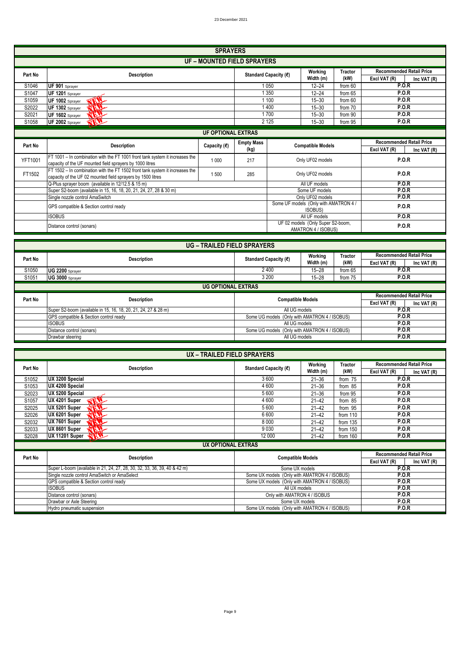### 23 December 2021

|                           | <b>SPRAYERS</b>                                                                                                                             |         |                       |         |                                                          |                |                                 |             |  |  |  |
|---------------------------|---------------------------------------------------------------------------------------------------------------------------------------------|---------|-----------------------|---------|----------------------------------------------------------|----------------|---------------------------------|-------------|--|--|--|
|                           | <b>UF - MOUNTED FIELD SPRAYERS</b>                                                                                                          |         |                       |         |                                                          |                |                                 |             |  |  |  |
| Part No                   | <b>Description</b>                                                                                                                          |         |                       |         | Working                                                  | <b>Tractor</b> | <b>Recommended Retail Price</b> |             |  |  |  |
|                           |                                                                                                                                             |         | Standard Capacity (ℓ) |         | Width (m)                                                | (kW)           | Excl VAT (R)                    | Inc VAT (R) |  |  |  |
| S1046                     | <b>UF 901</b> Sprayer                                                                                                                       |         |                       | 1050    | $12 - 24$                                                | from 60        | <b>P.O.R</b>                    |             |  |  |  |
| S1047                     | UF 1201 Sprayer                                                                                                                             |         |                       | 1 3 5 0 | $12 - 24$                                                | from 65        | <b>P.O.R</b>                    |             |  |  |  |
| S1059                     | UF 1002 Sprayer<br><b>NEW-</b>                                                                                                              |         |                       | 1 1 0 0 | $15 - 30$                                                | from 60        | P.O.R                           |             |  |  |  |
| S2022                     | 机工<br>UF 1302 Sprayer                                                                                                                       |         |                       | 1400    | $15 - 30$                                                | from 70        | <b>P.O.R</b>                    |             |  |  |  |
| S2021                     | 化工<br>UF 1602 Sprayer                                                                                                                       |         |                       | 1700    | $15 - 30$                                                | from 90        | <b>P.O.R</b>                    |             |  |  |  |
| S <sub>1058</sub>         | THE<br>UF 2002 Sprayer                                                                                                                      |         |                       | 2 1 2 5 | $15 - 30$                                                | from 95        | <b>P.O.R</b>                    |             |  |  |  |
| <b>UF OPTIONAL EXTRAS</b> |                                                                                                                                             |         |                       |         |                                                          |                |                                 |             |  |  |  |
| Part No                   | <b>Description</b><br>Capacity (e)                                                                                                          |         | <b>Empty Mass</b>     |         |                                                          |                | <b>Recommended Retail Price</b> |             |  |  |  |
|                           |                                                                                                                                             |         | (kg)                  |         | <b>Compatible Models</b>                                 |                | Excl VAT (R)                    | Inc VAT (R) |  |  |  |
| <b>YFT1001</b>            | FT 1001 - In combination with the FT 1001 front tank system it increases the<br>capacity of the UF mounted field sprayers by 1000 litres    | 1 0 0 0 | 217                   |         | Only UF02 models                                         |                | <b>P.O.R</b>                    |             |  |  |  |
| FT1502                    | FT 1502 - In combination with the FT 1502 front tank system it increases the<br>capacity of the UF 02 mounted field sprayers by 1500 litres | 1500    | 285                   |         | Only UF02 models                                         |                | <b>P.O.R</b>                    |             |  |  |  |
|                           | Q-Plus sprayer boom (available in 12/12.5 & 15 m)                                                                                           |         |                       |         | All UF models                                            |                | P.O.R                           |             |  |  |  |
|                           | Super S2-boom (available in 15, 16, 18, 20, 21, 24, 27, 28 & 30 m)                                                                          |         |                       |         | Some UF models                                           |                | P.O.R                           |             |  |  |  |
|                           | Single nozzle control AmaSwitch                                                                                                             |         |                       |         | Only UF02 models                                         |                | P.O.R                           |             |  |  |  |
|                           | GPS compatible & Section control ready                                                                                                      |         |                       |         | Some UF models (Only with AMATRON 4 /<br>ISOBUS)         |                | <b>P.O.R</b>                    |             |  |  |  |
|                           | <b>ISOBUS</b>                                                                                                                               |         |                       |         | All UF models                                            |                | <b>P.O.R</b>                    |             |  |  |  |
|                           | Distance control (sonars)                                                                                                                   |         |                       |         | UF 02 models (Only Super S2-boom,<br>AMATRON 4 / ISOBUS) |                | <b>P.O.R</b>                    |             |  |  |  |
|                           | <b>HG - TRAILED FIFLD SPRAYERS</b>                                                                                                          |         |                       |         |                                                          |                |                                 |             |  |  |  |

|                   | <b>UG - TRAILED FIELD SPRAYERS</b>                             |                                                 |              |                                 |                                 |               |  |  |  |  |
|-------------------|----------------------------------------------------------------|-------------------------------------------------|--------------|---------------------------------|---------------------------------|---------------|--|--|--|--|
| Part No           | <b>Description</b>                                             | Standard Capacity ( $\ell$ )                    | Working      | <b>Tractor</b>                  | <b>Recommended Retail Price</b> |               |  |  |  |  |
|                   |                                                                |                                                 | Width (m)    | (kW)                            | Excl VAT (R)                    | Inc VAT $(R)$ |  |  |  |  |
| S1050             | UG 2200 Sprayer                                                | 2400                                            | $15 - 28$    | from 65                         | <b>P.O.R</b>                    |               |  |  |  |  |
| S <sub>1051</sub> | UG 3000 Sprayer                                                | 3 2 0 0<br><b>P.O.R</b><br>from 75<br>$15 - 28$ |              |                                 |                                 |               |  |  |  |  |
|                   | <b>UG OPTIONAL EXTRAS</b>                                      |                                                 |              |                                 |                                 |               |  |  |  |  |
| Part No           | <b>Description</b>                                             | <b>Compatible Models</b>                        |              | <b>Recommended Retail Price</b> |                                 |               |  |  |  |  |
|                   |                                                                |                                                 |              | Excl VAT (R)                    | Inc VAT (R)                     |               |  |  |  |  |
|                   | Super S2-boom (available in 15, 16, 18, 20, 21, 24, 27 & 28 m) | All UG models                                   |              |                                 | <b>P.O.R</b>                    |               |  |  |  |  |
|                   | GPS compatible & Section control ready                         | Some UG models (Only with AMATRON 4 / ISOBUS)   |              |                                 | <b>P.O.R</b>                    |               |  |  |  |  |
|                   | <b>ISOBUS</b>                                                  | All UG models                                   | <b>P.O.R</b> |                                 |                                 |               |  |  |  |  |
|                   | Distance control (sonars)                                      | Some UG models (Only with AMATRON 4 / ISOBUS)   |              |                                 | <b>P.O.R</b>                    |               |  |  |  |  |
|                   | Drawbar steering                                               | All UG models                                   |              |                                 | <b>P.O.R</b>                    |               |  |  |  |  |

|                   | UX - TRAILED FIELD SPRAYERS                                               |                                               |           |                                 |                                 |               |  |
|-------------------|---------------------------------------------------------------------------|-----------------------------------------------|-----------|---------------------------------|---------------------------------|---------------|--|
| Part No           | <b>Description</b>                                                        | Standard Capacity (ℓ)                         | Working   | <b>Tractor</b>                  | <b>Recommended Retail Price</b> |               |  |
|                   |                                                                           |                                               | Width (m) | (kW)                            | Excl VAT (R)                    | Inc VAT $(R)$ |  |
| S1052             | UX 3200 Special                                                           | 3600                                          | $21 - 36$ | from 75                         | P.O.R                           |               |  |
| S <sub>1053</sub> | UX 4200 Special                                                           | 4600                                          | $21 - 36$ | from 85                         | <b>P.O.R</b>                    |               |  |
| S2023             | UX 5200 Special                                                           | 5600                                          | $21 - 36$ | from 95                         | <b>P.O.R</b>                    |               |  |
| S1057             | UX 4201 Super<br><b>ATAM</b>                                              | 4600                                          | $21 - 42$ | from 85                         | <b>P.O.R</b>                    |               |  |
| S2025             | UX 5201 Super<br>不可                                                       | 5600                                          | $21 - 42$ | from 95                         | <b>P.O.R</b>                    |               |  |
| S2026             | $\sqrt{11}$<br>UX 6201 Super                                              | 6600                                          | $21 - 42$ | from $110$                      | <b>P.O.R</b>                    |               |  |
| S2032             | UX 7601 Super<br>机业                                                       | 8 0 0 0                                       | $21 - 42$ | from $135$                      | <b>P.O.R</b>                    |               |  |
| S2033             | <b>KAY</b><br>UX 8601 Super                                               | 9030                                          | $21 - 42$ | from 150                        | <b>P.O.R</b>                    |               |  |
| S2028             | TEN<br>UX 11201 Super                                                     | 12 000                                        | $21 - 42$ | from 160                        | P.O.R                           |               |  |
|                   | <b>UX OPTIONAL EXTRAS</b>                                                 |                                               |           |                                 |                                 |               |  |
| Part No           |                                                                           |                                               |           | <b>Recommended Retail Price</b> |                                 |               |  |
|                   | <b>Description</b>                                                        | <b>Compatible Models</b>                      |           |                                 | Excl VAT (R)                    | Inc VAT $(R)$ |  |
|                   | Super L-boom (available in 21, 24, 27, 28, 30, 32, 33, 36, 39, 40 & 42 m) | Some UX models                                |           |                                 | <b>P.O.R</b>                    |               |  |
|                   | Single nozzle control AmaSwitch or AmaSelect                              | Some UX models (Only with AMATRON 4 / ISOBUS) |           |                                 | <b>P.O.R</b>                    |               |  |
|                   | GPS compatible & Section control ready                                    | Some UX models (Only with AMATRON 4 / ISOBUS) |           |                                 | <b>P.O.R</b>                    |               |  |
|                   | <b>ISOBUS</b>                                                             | All UX models                                 |           |                                 | <b>P.O.R</b>                    |               |  |
|                   | Distance control (sonars)                                                 | Only with AMATRON 4 / ISOBUS                  |           |                                 | P.O.R                           |               |  |
|                   | Drawbar or Axle Steering                                                  | Some UX models                                |           |                                 | P.O.R                           |               |  |
|                   | Hydro pneumatic suspension                                                | Some UX models (Only with AMATRON 4 / ISOBUS) |           |                                 | <b>P.O.R</b>                    |               |  |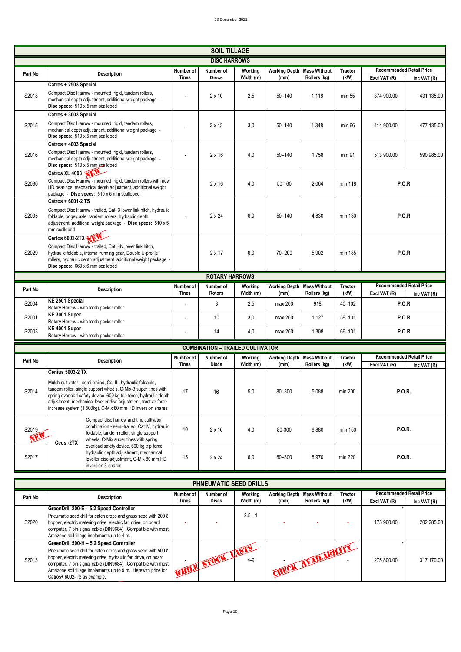### 23 December 2021

|              |                                                                                                                                                                                                                                                                                                                                       |                           | <b>SOIL TILLAGE</b>                     |                      |                                             |              |                        |                                                 |                                                |
|--------------|---------------------------------------------------------------------------------------------------------------------------------------------------------------------------------------------------------------------------------------------------------------------------------------------------------------------------------------|---------------------------|-----------------------------------------|----------------------|---------------------------------------------|--------------|------------------------|-------------------------------------------------|------------------------------------------------|
|              |                                                                                                                                                                                                                                                                                                                                       |                           | <b>DISC HARROWS</b>                     |                      |                                             |              |                        |                                                 |                                                |
| Part No      | <b>Description</b>                                                                                                                                                                                                                                                                                                                    | Number of                 | Number of                               | Working              | <b>Working Depth Mass Without</b>           |              | <b>Tractor</b>         | <b>Recommended Retail Price</b>                 |                                                |
|              | Catros + 2503 Special                                                                                                                                                                                                                                                                                                                 | <b>Tines</b>              | <b>Discs</b>                            | Width (m)            | (mm)                                        | Rollers (kg) | (kW)                   | Excl VAT (R)                                    | Inc VAT (R)                                    |
| S2018        | Compact Disc Harrow - mounted, rigid, tandem rollers,<br>mechanical depth adjustment, additional weight package -<br>Disc specs: 510 x 5 mm scalloped                                                                                                                                                                                 |                           | $2 \times 10$                           | 2.5                  | $50 - 140$                                  | 1 1 1 8      | min 55                 | 374 900.00                                      | 431 135.00                                     |
| S2015        | Catros + 3003 Special<br>Compact Disc Harrow - mounted, rigid, tandem rollers,<br>mechanical depth adjustment, additional weight package -<br>Disc specs: 510 x 5 mm scalloped                                                                                                                                                        |                           | $2 \times 12$                           | 3,0                  | $50 - 140$                                  | 1 3 4 8      | min 66                 | 414 900.00                                      | 477 135.00                                     |
| S2016        | Catros + 4003 Special<br>Compact Disc Harrow - mounted, rigid, tandem rollers,<br>mechanical depth adjustment, additional weight package -<br>Disc specs: 510 x 5 mm sealloped                                                                                                                                                        |                           | $2 \times 16$                           | 4,0                  | $50 - 140$                                  | 1758         | min 91                 | 513 900.00                                      | 590 985.00                                     |
| S2030        | Catros XL 4003<br>Compact Disc Harrow - mounted, rigid, tandem rollers with new<br>HD bearings, mechanical depth adjustment, additional weight<br>package - Disc specs: 610 x 6 mm scalloped                                                                                                                                          |                           | $2 \times 16$                           | 4,0                  | 50-160                                      | 2 0 6 4      | min 118                | <b>P.O.R</b>                                    |                                                |
| S2005        | Catros + 6001-2 TS<br>Compact Disc Harrow - trailed, Cat. 3 lower link hitch, hydraulic<br>foldable, bogey axle, tandem rollers, hydraulic depth<br>adjustment, additional weight package - Disc specs: 510 x 5<br>mm scalloped                                                                                                       |                           | $2 \times 24$                           | 6,0                  | $50 - 140$                                  | 4 8 3 0      | min 130                | <b>P.O.R</b>                                    |                                                |
| S2029        | Certos 6002-2TX<br>Compact Disc Harrow - trailed, Cat. 4N lower link hitch,<br>hydraulic foldable, internal running gear, Double U-profile<br>rollers, hydraulic depth adjustment, additional weight package -<br>Disc specs: 660 x 6 mm scalloped                                                                                    |                           | $2 \times 17$                           | 6,0                  | 70-200                                      | 5 902        | min 185                | <b>P.O.R</b>                                    |                                                |
|              |                                                                                                                                                                                                                                                                                                                                       |                           | <b>ROTARY HARROWS</b>                   |                      |                                             |              |                        |                                                 |                                                |
| Part No      | <b>Description</b>                                                                                                                                                                                                                                                                                                                    | Number of<br><b>Tines</b> | Number of<br><b>Rotors</b>              | Working<br>Width (m) | <b>Working Depth   Mass Without</b><br>(mm) | Rollers (kg) | Tractor<br>(kW)        | <b>Recommended Retail Price</b><br>Excl VAT (R) | Inc VAT (R)                                    |
| S2004        | KE 2501 Special<br>Rotary Harrow - with tooth packer roller                                                                                                                                                                                                                                                                           |                           | 8                                       | 2,5                  | max 200                                     | 918          | 40-102                 |                                                 | <b>P.O.R</b>                                   |
| S2001        | KE 3001 Super<br>Rotary Harrow - with tooth packer roller                                                                                                                                                                                                                                                                             |                           | 10                                      | 3,0                  | max 200                                     | 1 1 2 7      | 59-131                 | P.O.R                                           |                                                |
| S2003        | KE 4001 Super<br>Rotary Harrow - with tooth packer roller                                                                                                                                                                                                                                                                             |                           | 14                                      | 4,0                  | max 200                                     | 1 3 0 8      | 66-131                 | P.O.R                                           |                                                |
|              |                                                                                                                                                                                                                                                                                                                                       |                           | <b>COMBINATION - TRAILED CULTIVATOR</b> |                      |                                             |              |                        |                                                 |                                                |
| Part No      | <b>Description</b>                                                                                                                                                                                                                                                                                                                    | Number of<br><b>Tines</b> | Number of<br><b>Discs</b>               | Working<br>Width (m) | <b>Working Depth   Mass Without</b><br>(mm) | Rollers (kg) | <b>Tractor</b><br>(kW) | Excl VAT (R)                                    | <b>Recommended Retail Price</b><br>Inc VAT (R) |
|              | <b>Cenius 5003-2 TX</b>                                                                                                                                                                                                                                                                                                               |                           |                                         |                      |                                             |              |                        |                                                 |                                                |
| S2014        | Mulch cultivator - semi-trailed, Cat III, hydraulic foldable,<br>tandem roller, single support wheels, C-Mix-3 super tines with<br>spring overload safety device, 600 kg trip force, hydraulic depth<br>adjustment, mechanical leveller disc adjustment, tractive force<br>increase system (1 500kg), C-Mix 80 mm HD inversion shares | 17                        | 16                                      | 5,0                  | 80-300                                      | 5 0 8 8      | min 200                | P.O.R.                                          |                                                |
| S2019<br>NEW | Compact disc harrow and tine cultivator<br>combination - semi-trailed, Cat IV, hydraulic<br>foldable, tandem roller, single support<br>wheels, C-Mix super tines with spring<br>Ceus -2TX                                                                                                                                             | 10                        | $2 \times 16$                           | 4,0                  | 80-300                                      | 6880         | min 150                | <b>P.O.R.</b>                                   |                                                |
| S2017        | overload safety device, 600 kg trip force,<br>hydraulic depth adjustment, mechanical<br>leveller disc adjustment, C-Mix 80 mm HD<br>nversion 3-shares                                                                                                                                                                                 | 15                        | $2 \times 24$                           | 6,0                  | 80-300                                      | 8970         | min 220                | <b>P.O.R.</b>                                   |                                                |
|              |                                                                                                                                                                                                                                                                                                                                       |                           |                                         |                      |                                             |              |                        |                                                 |                                                |
|              |                                                                                                                                                                                                                                                                                                                                       |                           | PHNEUMATIC SEED DRILLS                  |                      |                                             |              |                        |                                                 |                                                |

|         | I IIILUMATIV ULLU DIJILLU                                                                                                                                                                                                                                                                                                                        |                        |       |           |                                     |              |                |                                 |               |  |  |
|---------|--------------------------------------------------------------------------------------------------------------------------------------------------------------------------------------------------------------------------------------------------------------------------------------------------------------------------------------------------|------------------------|-------|-----------|-------------------------------------|--------------|----------------|---------------------------------|---------------|--|--|
| Part No | <b>Description</b>                                                                                                                                                                                                                                                                                                                               | Number of<br>Number of |       | Working   | <b>Working Depth   Mass Without</b> |              | <b>Tractor</b> | <b>Recommended Retail Price</b> |               |  |  |
|         |                                                                                                                                                                                                                                                                                                                                                  | Tines                  | Discs | Width (m) | (mm)                                | Rollers (kg) | (kW)           | Excl VAT (R)                    | Inc VAT $(R)$ |  |  |
| S2020   | GreenDrill 200-E - 5.2 Speed Controller<br>Pneumatic seed drill for catch crops and grass seed with 200 $\ell$<br>hopper, electric metering drive, electric fan drive, on board<br>computer, 7 pin signal cable (DIN9684). Compatible with most<br>Amazone soil tillage implements up to 4 m.                                                    |                        |       | $2.5 - 4$ |                                     |              |                | 175 900.00                      | 202 285.00    |  |  |
| S2013   | GreenDrill 500-H - 5.2 Speed Controller<br>Pneumatic seed drill for catch crops and grass seed with 500 $\ell$<br>hopper, electric metering drive, hydraulic fan drive, on board<br>computer, 7 pin signal cable (DIN9684). Compatible with most<br>Amazone soil tillage implements up to 9 m. Herewith price for<br>Catros+ 6002-TS as example. | WHITE .                |       | $4 - 9$   |                                     |              |                | 275 800.00                      | 317 170.00    |  |  |